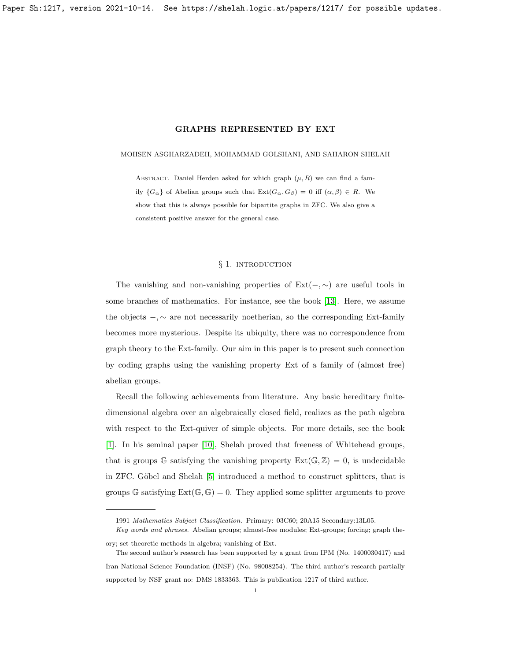### <span id="page-0-0"></span>MOHSEN ASGHARZADEH, MOHAMMAD GOLSHANI, AND SAHARON SHELAH

ABSTRACT. Daniel Herden asked for which graph  $(\mu, R)$  we can find a family  $\{G_{\alpha}\}\$  of Abelian groups such that  $\text{Ext}(G_{\alpha}, G_{\beta}) = 0$  iff  $(\alpha, \beta) \in R$ . We show that this is always possible for bipartite graphs in ZFC. We also give a consistent positive answer for the general case.

## § 1. INTRODUCTION

The vanishing and non-vanishing properties of  $Ext(-, \sim)$  are useful tools in some branches of mathematics. For instance, see the book [\[13\]](#page-30-0). Here, we assume the objects  $-$ ,  $\sim$  are not necessarily noetherian, so the corresponding Ext-family becomes more mysterious. Despite its ubiquity, there was no correspondence from graph theory to the Ext-family. Our aim in this paper is to present such connection by coding graphs using the vanishing property Ext of a family of (almost free) abelian groups.

Recall the following achievements from literature. Any basic hereditary finitedimensional algebra over an algebraically closed field, realizes as the path algebra with respect to the Ext-quiver of simple objects. For more details, see the book [\[1\]](#page-30-1). In his seminal paper [\[10\]](#page-30-2), Shelah proved that freeness of Whitehead groups, that is groups G satisfying the vanishing property  $Ext(\mathbb{G}, \mathbb{Z}) = 0$ , is undecidable in ZFC. Göbel and Shelah [\[5\]](#page-30-3) introduced a method to construct splitters, that is groups G satisfying  $Ext(\mathbb{G}, \mathbb{G}) = 0$ . They applied some splitter arguments to prove

<sup>1991</sup> Mathematics Subject Classification. Primary: 03C60; 20A15 Secondary:13L05.

Key words and phrases. Abelian groups; almost-free modules; Ext-groups; forcing; graph theory; set theoretic methods in algebra; vanishing of Ext.

The second author's research has been supported by a grant from IPM (No. 1400030417) and Iran National Science Foundation (INSF) (No. 98008254). The third author's research partially supported by NSF grant no: DMS 1833363. This is publication 1217 of third author.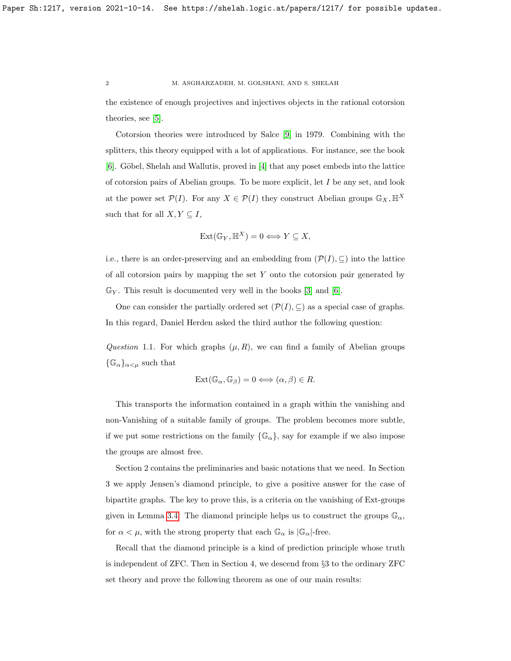the existence of enough projectives and injectives objects in the rational cotorsion theories, see [\[5\]](#page-30-3).

Cotorsion theories were introduced by Salce [\[9\]](#page-30-4) in 1979. Combining with the splitters, this theory equipped with a lot of applications. For instance, see the book [\[6\]](#page-30-5). Göbel, Shelah and Wallutis, proved in [\[4\]](#page-30-6) that any poset embeds into the lattice of cotorsion pairs of Abelian groups. To be more explicit, let  $I$  be any set, and look at the power set  $\mathcal{P}(I)$ . For any  $X \in \mathcal{P}(I)$  they construct Abelian groups  $\mathbb{G}_X, \mathbb{H}^X$ such that for all  $X, Y \subseteq I$ ,

$$
Ext(\mathbb{G}_Y, \mathbb{H}^X) = 0 \Longleftrightarrow Y \subseteq X,
$$

i.e., there is an order-preserving and an embedding from  $(\mathcal{P}(I), \subseteq)$  into the lattice of all cotorsion pairs by mapping the set  $Y$  onto the cotorsion pair generated by  $\mathbb{G}_Y$ . This result is documented very well in the books [\[3\]](#page-30-7) and [\[6\]](#page-30-5).

One can consider the partially ordered set  $(\mathcal{P}(I), \subseteq)$  as a special case of graphs. In this regard, Daniel Herden asked the third author the following question:

<span id="page-1-0"></span>Question 1.1. For which graphs  $(\mu, R)$ , we can find a family of Abelian groups  $\{\mathbb{G}_{\alpha}\}_{{\alpha}<\mu}$  such that

$$
Ext(\mathbb{G}_{\alpha}, \mathbb{G}_{\beta}) = 0 \Longleftrightarrow (\alpha, \beta) \in R.
$$

This transports the information contained in a graph within the vanishing and non-Vanishing of a suitable family of groups. The problem becomes more subtle, if we put some restrictions on the family  $\{\mathbb{G}_{\alpha}\}\)$ , say for example if we also impose the groups are almost free.

Section 2 contains the preliminaries and basic notations that we need. In Section 3 we apply Jensen's diamond principle, to give a positive answer for the case of bipartite graphs. The key to prove this, is a criteria on the vanishing of Ext-groups given in Lemma [3.4.](#page-6-0) The diamond principle helps us to construct the groups  $\mathbb{G}_{\alpha}$ , for  $\alpha < \mu$ , with the strong property that each  $\mathbb{G}_{\alpha}$  is  $|\mathbb{G}_{\alpha}|$ -free.

Recall that the diamond principle is a kind of prediction principle whose truth is independent of ZFC. Then in Section 4, we descend from §3 to the ordinary ZFC set theory and prove the following theorem as one of our main results: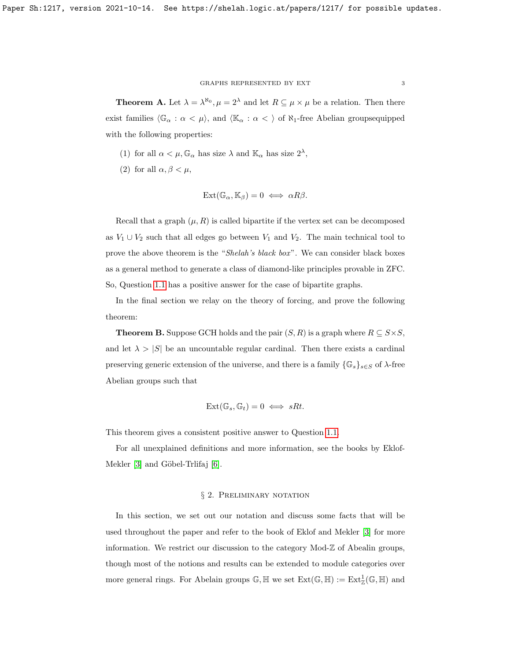#### GRAPHS REPRESENTED BY EXT  $\hspace{1.5mm} 3$

**Theorem A.** Let  $\lambda = \lambda^{\aleph_0}, \mu = 2^{\lambda}$  and let  $R \subseteq \mu \times \mu$  be a relation. Then there exist families  $\langle\mathbb{G}_\alpha:\alpha<\mu\rangle$ , and  $\langle\mathbb{K}_\alpha:\alpha<\rangle$  of  $\aleph_1$ -free Abelian groups<br>equipped with the following properties:

- (1) for all  $\alpha < \mu$ ,  $\mathbb{G}_{\alpha}$  has size  $\lambda$  and  $\mathbb{K}_{\alpha}$  has size  $2^{\lambda}$ ,
- (2) for all  $\alpha, \beta < \mu$ ,

$$
Ext(\mathbb{G}_{\alpha}, \mathbb{K}_{\beta}) = 0 \iff \alpha R \beta.
$$

Recall that a graph  $(\mu, R)$  is called bipartite if the vertex set can be decomposed as  $V_1 \cup V_2$  such that all edges go between  $V_1$  and  $V_2$ . The main technical tool to prove the above theorem is the "Shelah's black box". We can consider black boxes as a general method to generate a class of diamond-like principles provable in ZFC. So, Question [1.1](#page-1-0) has a positive answer for the case of bipartite graphs.

In the final section we relay on the theory of forcing, and prove the following theorem:

**Theorem B.** Suppose GCH holds and the pair  $(S, R)$  is a graph where  $R \subseteq S \times S$ , and let  $\lambda > |S|$  be an uncountable regular cardinal. Then there exists a cardinal preserving generic extension of the universe, and there is a family  $\{\mathbb{G}_s\}_{s\in S}$  of  $\lambda$ -free Abelian groups such that

$$
Ext(\mathbb{G}_s, \mathbb{G}_t) = 0 \iff sRt.
$$

This theorem gives a consistent positive answer to Question [1.1.](#page-1-0)

For all unexplained definitions and more information, see the books by Eklof-Mekler  $[3]$  and Göbel-Trlifaj  $[6]$ .

# § 2. PRELIMINARY NOTATION

In this section, we set out our notation and discuss some facts that will be used throughout the paper and refer to the book of Eklof and Mekler [\[3\]](#page-30-7) for more information. We restrict our discussion to the category Mod-Z of Abealin groups, though most of the notions and results can be extended to module categories over more general rings. For Abelain groups  $\mathbb{G}, \mathbb{H}$  we set  $\text{Ext}(\mathbb{G}, \mathbb{H}) := \text{Ext}^1_{\mathbb{Z}}(\mathbb{G}, \mathbb{H})$  and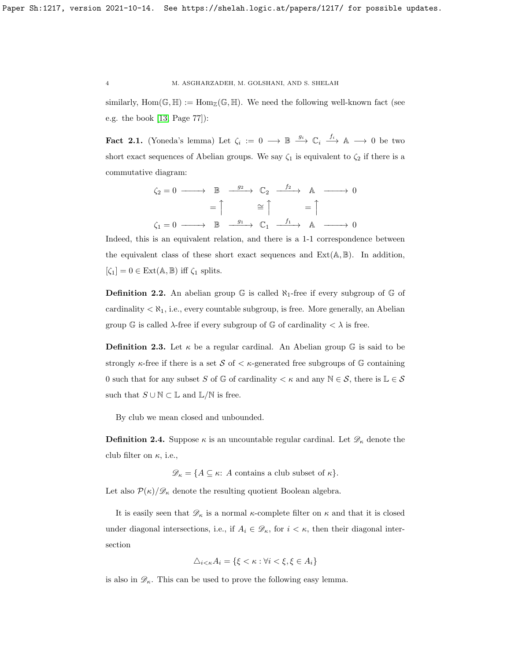similarly,  $Hom(\mathbb{G}, \mathbb{H}) := Hom_{\mathbb{Z}}(\mathbb{G}, \mathbb{H})$ . We need the following well-known fact (see e.g. the book [\[13,](#page-30-0) Page 77]):

<span id="page-3-0"></span>Fact 2.1. (Yoneda's lemma) Let  $\zeta_i := 0 \longrightarrow \mathbb{B} \stackrel{g_i}{\longrightarrow} \mathbb{C}_i \stackrel{f_i}{\longrightarrow} \mathbb{A} \longrightarrow 0$  be two short exact sequences of Abelian groups. We say  $\zeta_1$  is equivalent to  $\zeta_2$  if there is a commutative diagram:

$$
\zeta_2 = 0 \longrightarrow \mathbb{B} \xrightarrow{g_2} \mathbb{C}_2 \xrightarrow{f_2} \mathbb{A} \longrightarrow 0
$$

$$
= \uparrow \qquad \cong \uparrow \qquad = \uparrow
$$

$$
\zeta_1 = 0 \longrightarrow \mathbb{B} \xrightarrow{g_1} \mathbb{C}_1 \xrightarrow{f_1} \mathbb{A} \longrightarrow 0
$$

Indeed, this is an equivalent relation, and there is a 1-1 correspondence between the equivalent class of these short exact sequences and  $Ext(A, \mathbb{B})$ . In addition,  $[\zeta_1] = 0 \in \text{Ext}(\mathbb{A}, \mathbb{B})$  iff  $\zeta_1$  splits.

**Definition 2.2.** An abelian group  $\mathbb{G}$  is called  $\aleph_1$ -free if every subgroup of  $\mathbb{G}$  of cardinality  $\langle \aleph_1$ , i.e., every countable subgroup, is free. More generally, an Abelian group  $\mathbb{G}$  is called  $\lambda$ -free if every subgroup of  $\mathbb{G}$  of cardinality  $\langle \lambda \rangle$  is free.

**Definition 2.3.** Let  $\kappa$  be a regular cardinal. An Abelian group  $\mathbb{G}$  is said to be strongly  $\kappa$ -free if there is a set S of  $\lt \kappa$ -generated free subgroups of G containing 0 such that for any subset S of G of cardinality  $\lt \kappa$  and any  $\mathbb{N} \in \mathcal{S}$ , there is  $\mathbb{L} \in \mathcal{S}$ such that  $S \cup \mathbb{N} \subset \mathbb{L}$  and  $\mathbb{L}/\mathbb{N}$  is free.

By club we mean closed and unbounded.

**Definition 2.4.** Suppose  $\kappa$  is an uncountable regular cardinal. Let  $\mathscr{D}_{\kappa}$  denote the club filter on  $\kappa$ , i.e.,

 $\mathscr{D}_\kappa = \{A \subseteq \kappa \colon A \text{ contains a club subset of } \kappa\}.$ 

Let also  $\mathcal{P}(\kappa)/\mathcal{D}_\kappa$  denote the resulting quotient Boolean algebra.

It is easily seen that  $\mathscr{D}_\kappa$  is a normal  $\kappa$ -complete filter on  $\kappa$  and that it is closed under diagonal intersections, i.e., if  $A_i \in \mathcal{D}_\kappa$ , for  $i < \kappa$ , then their diagonal intersection

$$
\triangle_{i<\kappa}A_i = \{\xi < \kappa : \forall i < \xi, \xi \in A_i\}
$$

is also in  $\mathscr{D}_{\kappa}$ . This can be used to prove the following easy lemma.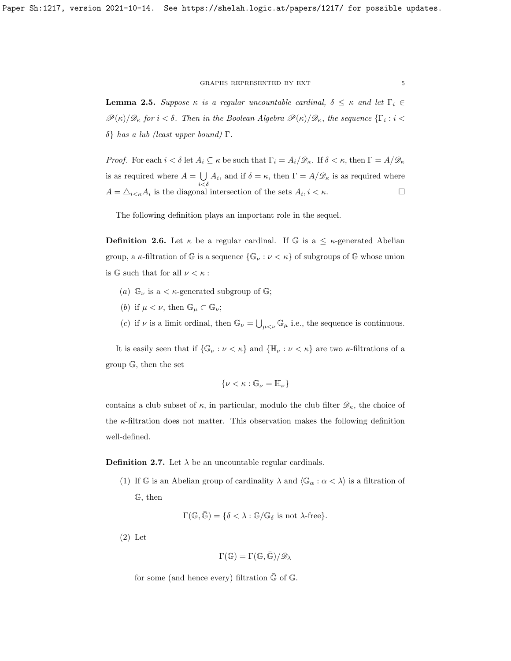#### GRAPHS REPRESENTED BY EXT $\,$  5  $\,$

**Lemma 2.5.** Suppose  $\kappa$  is a regular uncountable cardinal,  $\delta \leq \kappa$  and let  $\Gamma_i \in$  $\mathscr{P}(\kappa)/\mathscr{D}_\kappa$  for  $i < \delta$ . Then in the Boolean Algebra  $\mathscr{P}(\kappa)/\mathscr{D}_\kappa$ , the sequence  $\{\Gamma_i : i <$ δ} has a lub (least upper bound) Γ.

*Proof.* For each  $i < \delta$  let  $A_i \subseteq \kappa$  be such that  $\Gamma_i = A_i/\mathscr{D}_\kappa$ . If  $\delta < \kappa$ , then  $\Gamma = A/\mathscr{D}_\kappa$ is as required where  $A = \bigcup$  $\bigcup_{i < \delta} A_i$ , and if  $\delta = \kappa$ , then  $\Gamma = A/\mathscr{D}_\kappa$  is as required where  $A = \Delta_{i \leq \kappa} A_i$  is the diagonal intersection of the sets  $A_i, i \leq \kappa$ .

The following definition plays an important role in the sequel.

**Definition 2.6.** Let  $\kappa$  be a regular cardinal. If G is a  $\leq \kappa$ -generated Abelian group, a  $\kappa$ -filtration of  $\mathbb G$  is a sequence  $\{\mathbb G_\nu : \nu < \kappa\}$  of subgroups of  $\mathbb G$  whose union is  $\mathbb{G}$  such that for all  $\nu < \kappa$ :

- (a)  $\mathbb{G}_{\nu}$  is a <  $\kappa$ -generated subgroup of  $\mathbb{G}$ ;
- (b) if  $\mu < \nu$ , then  $\mathbb{G}_{\mu} \subset \mathbb{G}_{\nu}$ ;
- (c) if  $\nu$  is a limit ordinal, then  $\mathbb{G}_{\nu} = \bigcup_{\mu < \nu} \mathbb{G}_{\mu}$  i.e., the sequence is continuous.

It is easily seen that if  $\{\mathbb{G}_{\nu} : \nu < \kappa\}$  and  $\{\mathbb{H}_{\nu} : \nu < \kappa\}$  are two  $\kappa$ -filtrations of a group G, then the set

$$
\{\nu<\kappa:\mathbb{G}_{\nu}=\mathbb{H}_{\nu}\}
$$

contains a club subset of  $\kappa$ , in particular, modulo the club filter  $\mathscr{D}_{\kappa}$ , the choice of the  $\kappa$ -filtration does not matter. This observation makes the following definition well-defined.

**Definition 2.7.** Let  $\lambda$  be an uncountable regular cardinals.

(1) If G is an Abelian group of cardinality  $\lambda$  and  $\langle \mathbb{G}_{\alpha} : \alpha < \lambda \rangle$  is a filtration of G, then

$$
\Gamma(\mathbb{G},\bar{\mathbb{G}}) = \{ \delta < \lambda : \mathbb{G}/\mathbb{G}_{\delta} \text{ is not } \lambda \text{-free} \}.
$$

(2) Let

$$
\Gamma(\mathbb{G}) = \Gamma(\mathbb{G},\bar{\mathbb{G}})/\mathscr{D}_{\lambda}
$$

for some (and hence every) filtration  $\bar{\mathbb{G}}$  of  $\mathbb{G}$ .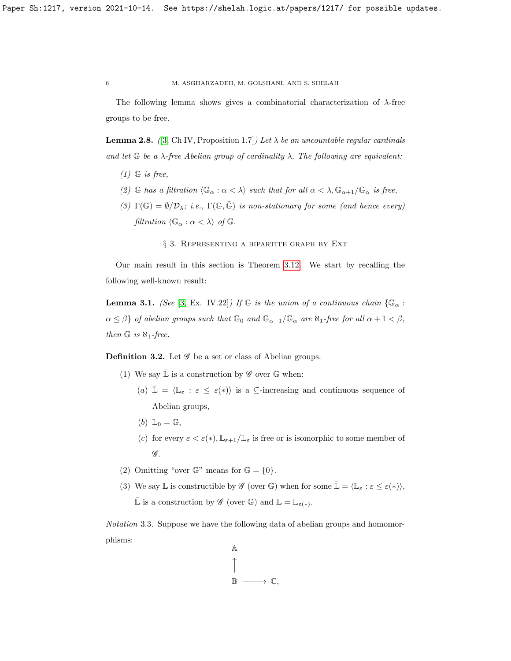The following lemma shows gives a combinatorial characterization of  $\lambda$ -free groups to be free.

**Lemma 2.8.** ([\[3,](#page-30-7) Ch IV, Proposition 1.7]) Let  $\lambda$  be an uncountable regular cardinals and let  $G$  be a  $\lambda$ -free Abelian group of cardinality  $\lambda$ . The following are equivalent:

- $(1)$  G is free,
- (2) G has a filtration  $\langle \mathbb{G}_{\alpha} : \alpha < \lambda \rangle$  such that for all  $\alpha < \lambda$ ,  $\mathbb{G}_{\alpha+1}/\mathbb{G}_{\alpha}$  is free,
- (3)  $\Gamma(\mathbb{G}) = \emptyset/\mathcal{D}_{\lambda};$  i.e.,  $\Gamma(\mathbb{G}, \bar{\mathbb{G}})$  is non-stationary for some (and hence every) filtration  $\langle \mathbb{G}_{\alpha} : \alpha < \lambda \rangle$  of  $\mathbb{G}$ .
	- § 3. Representing a bipartite graph by Ext

Our main result in this section is Theorem [3.12.](#page-16-0) We start by recalling the following well-known result:

<span id="page-5-0"></span>**Lemma 3.1.** (See [\[3,](#page-30-7) Ex. IV.22]) If G is the union of a continuous chain  $\{\mathbb{G}_{\alpha}$ :  $\alpha \leq \beta$  of abelian groups such that  $\mathbb{G}_0$  and  $\mathbb{G}_{\alpha+1}/\mathbb{G}_{\alpha}$  are  $\aleph_1$ -free for all  $\alpha+1 < \beta$ , then  $\mathbb G$  is  $\aleph_1$ -free.

**Definition 3.2.** Let  $\mathscr G$  be a set or class of Abelian groups.

- (1) We say  $\bar{\mathbb{L}}$  is a construction by  $\mathscr{G}$  over  $\mathbb{G}$  when:
	- (a)  $\bar{\mathbb{L}} = \langle \mathbb{L}_{\varepsilon} : \varepsilon \leq \varepsilon(*) \rangle$  is a  $\subseteq$ -increasing and continuous sequence of Abelian groups,
	- (b)  $\mathbb{L}_0 = \mathbb{G}$ ,
	- (c) for every  $\varepsilon < \varepsilon(*)$ ,  $\mathbb{L}_{\varepsilon+1}/\mathbb{L}_{\varepsilon}$  is free or is isomorphic to some member of  $\mathscr{G}$ .
- (2) Omitting "over  $\mathbb{G}$ " means for  $\mathbb{G} = \{0\}.$
- (3) We say L is constructible by  $\mathscr{G}$  (over  $\mathbb{G}$ ) when for some  $\mathbb{L} = \langle \mathbb{L}_{\varepsilon} : \varepsilon \leq \varepsilon(*) \rangle$ ,  $\bar{\mathbb{L}}$  is a construction by  $\mathscr{G}$  (over  $\mathbb{G}$ ) and  $\mathbb{L} = \mathbb{L}_{\varepsilon(*)}$ .

Notation 3.3. Suppose we have the following data of abelian groups and homomorphisms:

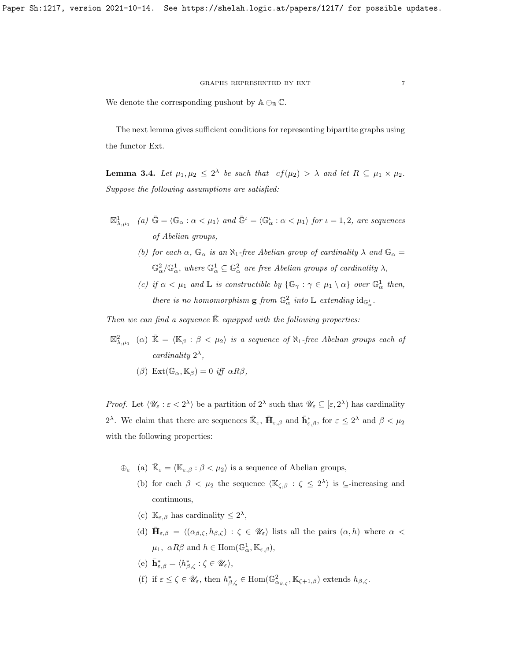#### GRAPHS REPRESENTED BY EXT  $\hspace{1.5mm} 7$

We denote the corresponding pushout by  $\mathbb{A} \oplus_{\mathbb{B}} \mathbb{C}$ .

The next lemma gives sufficient conditions for representing bipartite graphs using the functor Ext.

<span id="page-6-0"></span>**Lemma 3.4.** Let  $\mu_1, \mu_2 \leq 2^{\lambda}$  be such that  $cf(\mu_2) > \lambda$  and let  $R \subseteq \mu_1 \times \mu_2$ . Suppose the following assumptions are satisfied:

- $\mathbb{Z}_{\lambda,\mu_1}^1$  (a)  $\bar{\mathbb{G}} = \langle \mathbb{G}_{\alpha} : \alpha < \mu_1 \rangle$  and  $\bar{\mathbb{G}}^{\iota} = \langle \mathbb{G}_{\alpha}^{\iota} : \alpha < \mu_1 \rangle$  for  $\iota = 1, 2$ , are sequences of Abelian groups,
	- (b) for each  $\alpha$ ,  $\mathbb{G}_{\alpha}$  is an  $\aleph_1$ -free Abelian group of cardinality  $\lambda$  and  $\mathbb{G}_{\alpha}$  =  $\mathbb{G}_{\alpha}^2/\mathbb{G}_{\alpha}^1$ , where  $\mathbb{G}_{\alpha}^1 \subseteq \mathbb{G}_{\alpha}^2$  are free Abelian groups of cardinality  $\lambda$ ,
	- (c) if  $\alpha < \mu_1$  and  $\mathbb{L}$  is constructible by  $\{\mathbb{G}_{\gamma} : \gamma \in \mu_1 \setminus \alpha\}$  over  $\mathbb{G}_{\alpha}^1$  then, there is no homomorphism **g** from  $\mathbb{G}_{\alpha}^2$  into  $\mathbb{L}$  extending  $id_{\mathbb{G}_{\alpha}^1}$ .

Then we can find a sequence  $K$  equipped with the following properties:

 $\boxtimes_{\lambda,\mu_1}^2$  ( $\alpha$ )  $\bar{\mathbb{K}} = \langle \mathbb{K}_\beta : \beta < \mu_2 \rangle$  is a sequence of  $\aleph_1$ -free Abelian groups each of cardinality  $2^{\lambda}$ ,

$$
(\beta) \ \mathop{\mathrm{Ext}}\nolimits(\mathbb{G}_{\alpha}, \mathbb{K}_{\beta}) = 0 \ \mathop{\mathrm{iff}}\nolimits \ \alpha R \beta,
$$

*Proof.* Let  $\langle \mathcal{U}_{\varepsilon} : \varepsilon < 2^{\lambda} \rangle$  be a partition of  $2^{\lambda}$  such that  $\mathcal{U}_{\varepsilon} \subseteq [\varepsilon, 2^{\lambda}]$  has cardinality 2<sup> $\lambda$ </sup>. We claim that there are sequences  $\bar{\mathbb{K}}_{\varepsilon}$ ,  $\bar{\mathbf{H}}_{\varepsilon,\beta}$  and  $\bar{\mathbf{h}}_{\varepsilon,\beta}^{*}$ , for  $\varepsilon \leq 2^{\lambda}$  and  $\beta < \mu_2$ with the following properties:

 $\bigoplus_{\varepsilon}$  (a)  $\bar{\mathbb{K}}_{\varepsilon} = \langle \mathbb{K}_{\varepsilon,\beta} : \beta < \mu_2 \rangle$  is a sequence of Abelian groups,

- (b) for each  $\beta < \mu_2$  the sequence  $\langle \mathbb{K}_{\zeta,\beta} : \zeta \leq 2^{\lambda} \rangle$  is  $\subseteq$ -increasing and continuous,
- (c)  $\mathbb{K}_{\varepsilon,\beta}$  has cardinality  $\leq 2^{\lambda}$ ,
- (d)  $\bar{\mathbf{H}}_{\varepsilon,\beta} = \langle (\alpha_{\beta,\zeta}, h_{\beta,\zeta}) : \zeta \in \mathscr{U}_{\varepsilon} \rangle$  lists all the pairs  $(\alpha, h)$  where  $\alpha$  $\mu_1, \ \alpha R\beta \text{ and } h \in \text{Hom}(\mathbb{G}_\alpha^1, \mathbb{K}_{\varepsilon,\beta}),$
- (e)  $\bar{\mathbf{h}}_{\varepsilon,\beta}^* = \langle h_{\beta,\zeta}^* : \zeta \in \mathscr{U}_{\varepsilon} \rangle$ ,
- (f) if  $\varepsilon \leq \zeta \in \mathscr{U}_{\varepsilon}$ , then  $h^*_{\beta,\zeta} \in \text{Hom}(\mathbb{G}^2_{\alpha_{\beta,\zeta}}, \mathbb{K}_{\zeta+1,\beta})$  extends  $h_{\beta,\zeta}$ .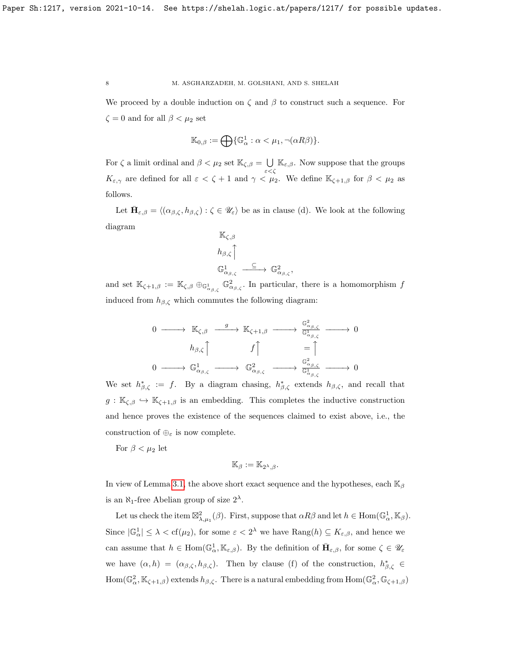We proceed by a double induction on  $\zeta$  and  $\beta$  to construct such a sequence. For  $\zeta = 0$  and for all  $\beta < \mu_2$  set

$$
\mathbb{K}_{0,\beta} := \bigoplus \{ \mathbb{G}_\alpha^1 : \alpha < \mu_1, \neg(\alpha R \beta) \}.
$$

For  $\zeta$  a limit ordinal and  $\beta < \mu_2$  set  $\mathbb{K}_{\zeta,\beta} = \bigcup$  $\bigcup_{\varepsilon < \zeta} \mathbb{K}_{\varepsilon,\beta}$ . Now suppose that the groups  $K_{\varepsilon,\gamma}$  are defined for all  $\varepsilon < \zeta + 1$  and  $\gamma < \mu_2$ . We define  $\mathbb{K}_{\zeta+1,\beta}$  for  $\beta < \mu_2$  as follows.

Let  $\bar{\mathbf{H}}_{\varepsilon,\beta} = \langle (\alpha_{\beta,\zeta}, h_{\beta,\zeta}) : \zeta \in \mathscr{U}_{\varepsilon} \rangle$  be as in clause (d). We look at the following diagram

$$
\begin{array}{l} \mathbb{K}_{\zeta,\beta} \\[1mm] h_{\beta,\zeta} \Big\uparrow \\[1mm] \mathbb{G}^1_{\alpha_{\beta,\zeta}} \xrightarrow{\hspace{0.5cm} \subseteq \hspace{0.5cm}}} \mathbb{G}^2_{\alpha_{\beta,\zeta}}, \end{array}
$$

and set  $\mathbb{K}_{\zeta+1,\beta} := \mathbb{K}_{\zeta,\beta} \oplus_{\mathbb{G}^1_{\alpha_{\beta,\zeta}}} \mathbb{G}^2_{\alpha_{\beta,\zeta}}$ . In particular, there is a homomorphism f induced from  $h_{\beta,\zeta}$  which commutes the following diagram:

$$
\begin{array}{ccccccc}\n0 & \xrightarrow{\quad} & \mathbb{K}_{\zeta,\beta} & \xrightarrow{g} & \mathbb{K}_{\zeta+1,\beta} & \xrightarrow{\quad} & \frac{\mathbb{G}_{\alpha_{\beta,\zeta}}^2}{\mathbb{G}_{\alpha_{\beta,\zeta}}^1} & \xrightarrow{h_{\beta,\zeta}} & \\
 & & & & & & \\
0 & \xrightarrow{h_{\beta,\zeta}} & & & & \\
0 & \xrightarrow{\quad} & \mathbb{G}_{\alpha_{\beta,\zeta}}^1 & & & & \\
0 & \xrightarrow{\quad} & \mathbb{G}_{\alpha_{\beta,\zeta}}^1 & & & & \\
0 & \xrightarrow{\quad} & \mathbb{G}_{\alpha_{\beta,\zeta}}^1 & & & & \\
0 & \xrightarrow{\quad} & \mathbb{G}_{\alpha_{\beta,\zeta}}^1 & & & & \\
0 & \xrightarrow{\quad} & \mathbb{G}_{\alpha_{\beta,\zeta}}^1 & & & & \\
0 & \xrightarrow{\quad} & \mathbb{G}_{\alpha_{\beta,\zeta}}^1 & & & & \\
0 & \xrightarrow{\quad} & \mathbb{G}_{\alpha_{\beta,\zeta}}^1 & & & & \\
0 & \xrightarrow{\quad} & \mathbb{G}_{\alpha_{\beta,\zeta}}^1 & & & & \\
0 & \xrightarrow{\quad} & \mathbb{G}_{\alpha_{\beta,\zeta}}^1 & & & & \\
0 & \xrightarrow{\quad} & \mathbb{G}_{\alpha_{\beta,\zeta}}^1 & & & & \\
0 & \xrightarrow{\quad} & \mathbb{G}_{\alpha_{\beta,\zeta}}^1 & & & & \\
0 & \xrightarrow{\quad} & \mathbb{G}_{\alpha_{\beta,\zeta}}^1 & & & & \\
0 & \xrightarrow{\quad} & \mathbb{G}_{\alpha_{\beta,\zeta}}^1 & & & & \\
0 & \xrightarrow{\quad} & \mathbb{G}_{\alpha_{\beta
$$

We set  $h^*_{\beta,\zeta} := f$ . By a diagram chasing,  $h^*_{\beta,\zeta}$  extends  $h_{\beta,\zeta}$ , and recall that  $g: \mathbb{K}_{\zeta,\beta} \hookrightarrow \mathbb{K}_{\zeta+1,\beta}$  is an embedding. This completes the inductive construction and hence proves the existence of the sequences claimed to exist above, i.e., the construction of  $\oplus_{\varepsilon}$  is now complete.

For  $\beta < \mu_2$  let

$$
\mathbb{K}_{\beta} := \mathbb{K}_{2^{\lambda},\beta}.
$$

In view of Lemma [3.1,](#page-5-0) the above short exact sequence and the hypotheses, each  $\mathbb{K}_{\beta}$ is an  $\aleph_1$ -free Abelian group of size  $2^{\lambda}$ .

Let us check the item  $\mathbb{Z}^2_{\lambda,\mu_1}(\beta)$ . First, suppose that  $\alpha R\beta$  and let  $h \in \text{Hom}(\mathbb{G}_\alpha^1,\mathbb{K}_\beta)$ . Since  $|\mathbb{G}_{\alpha}^1| \leq \lambda < \text{cf}(\mu_2)$ , for some  $\varepsilon < 2^{\lambda}$  we have  $\text{Rang}(h) \subseteq K_{\varepsilon,\beta}$ , and hence we can assume that  $h \in \text{Hom}(\mathbb{G}_\alpha^1, \mathbb{K}_{\varepsilon,\beta})$ . By the definition of  $\bar{\mathbf{H}}_{\varepsilon,\beta}$ , for some  $\zeta \in \mathscr{U}_{\varepsilon}$ we have  $(\alpha, h) = (\alpha_{\beta,\zeta}, h_{\beta,\zeta})$ . Then by clause (f) of the construction,  $h_{\beta,\zeta}^* \in$  $\text{Hom}(\mathbb{G}_{\alpha}^2,\mathbb{K}_{\zeta+1,\beta})$  extends  $h_{\beta,\zeta}$ . There is a natural embedding from  $\text{Hom}(\mathbb{G}_{\alpha}^2,\mathbb{G}_{\zeta+1,\beta})$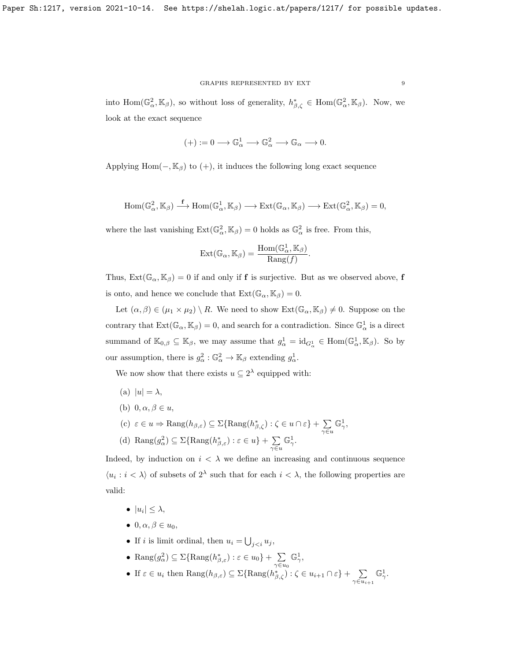#### GRAPHS REPRESENTED BY EXT  $\hfill 9$

into  $\text{Hom}(\mathbb{G}_{\alpha}^2,\mathbb{K}_{\beta})$ , so without loss of generality,  $h_{\beta,\zeta}^* \in \text{Hom}(\mathbb{G}_{\alpha}^2,\mathbb{K}_{\beta})$ . Now, we look at the exact sequence

$$
(+):=0\longrightarrow \mathbb{G}_\alpha^1\longrightarrow \mathbb{G}_\alpha^2\longrightarrow \mathbb{G}_\alpha\longrightarrow 0.
$$

Applying Hom( $-$ , K<sub>β</sub>) to (+), it induces the following long exact sequence

$$
\mathrm{Hom}(\mathbb{G}_\alpha^2,\mathbb{K}_\beta)\stackrel{\mathbf{f}}{\longrightarrow}\mathrm{Hom}(\mathbb{G}_\alpha^1,\mathbb{K}_\beta)\longrightarrow\mathrm{Ext}(\mathbb{G}_\alpha,\mathbb{K}_\beta)\longrightarrow\mathrm{Ext}(\mathbb{G}_\alpha^2,\mathbb{K}_\beta)=0,
$$

where the last vanishing  $\text{Ext}(\mathbb{G}_{\alpha}^2, \mathbb{K}_{\beta}) = 0$  holds as  $\mathbb{G}_{\alpha}^2$  is free. From this,

$$
\mathrm{Ext}(\mathbb{G}_{\alpha}, \mathbb{K}_{\beta}) = \frac{\mathrm{Hom}(\mathbb{G}_{\alpha}^1, \mathbb{K}_{\beta})}{\mathrm{Rang}(f)}.
$$

Thus,  $Ext(\mathbb{G}_{\alpha}, \mathbb{K}_{\beta}) = 0$  if and only if **f** is surjective. But as we observed above, **f** is onto, and hence we conclude that  $Ext(\mathbb{G}_{\alpha}, \mathbb{K}_{\beta}) = 0$ .

Let  $(\alpha, \beta) \in (\mu_1 \times \mu_2) \setminus R$ . We need to show  $\text{Ext}(\mathbb{G}_{\alpha}, \mathbb{K}_{\beta}) \neq 0$ . Suppose on the contrary that  $Ext(\mathbb{G}_{\alpha}, \mathbb{K}_{\beta}) = 0$ , and search for a contradiction. Since  $\mathbb{G}_{\alpha}^1$  is a direct summand of  $\mathbb{K}_{0,\beta} \subseteq \mathbb{K}_{\beta}$ , we may assume that  $g_{\alpha}^1 = \mathrm{id}_{G_{\alpha}^1} \in \text{Hom}(\mathbb{G}_{\alpha}^1, \mathbb{K}_{\beta})$ . So by our assumption, there is  $g_{\alpha}^2 : \mathbb{G}_{\alpha}^2 \to \mathbb{K}_{\beta}$  extending  $g_{\alpha}^1$ .

We now show that there exists  $u \subseteq 2^{\lambda}$  equipped with:

- (a)  $|u| = \lambda$ ,
- (b)  $0, \alpha, \beta \in u$ ,

(c) 
$$
\varepsilon \in u \Rightarrow \text{Rang}(h_{\beta,\varepsilon}) \subseteq \Sigma{\text{Rang}(h_{\beta,\zeta}^*) : \zeta \in u \cap \varepsilon} + \sum_{\gamma \in u} \mathbb{G}^1_{\gamma},
$$

(d) Rang $(g_{\alpha}^2) \subseteq \Sigma{\text{Rang}(h_{\beta,\varepsilon}^*) : \varepsilon \in u\} + \sum$  $\gamma \in u$  $\mathbb{G}^1_\gamma.$ 

Indeed, by induction on  $i < \lambda$  we define an increasing and continuous sequence  $\langle u_i : i \rangle \langle \lambda \rangle$  of subsets of  $2^{\lambda}$  such that for each  $i \langle \lambda \rangle$ , the following properties are valid:

- $\bullet$   $|u_i| \leq \lambda$ ,
- $0, \alpha, \beta \in u_0$ ,
- If *i* is limit ordinal, then  $u_i = \bigcup_{j,$

• 
$$
\text{Rang}(g_{\alpha}^2) \subseteq \Sigma{\text{Rang}(h_{\beta,\varepsilon}^*) : \varepsilon \in u_0} + \sum_{\gamma \in u_0} \mathbb{G}_{\gamma}^1
$$
,

• If  $\varepsilon \in u_i$  then  $\text{Rang}(h_{\beta,\varepsilon}) \subseteq \Sigma{\text{Rang}(h_{\beta,\zeta}^*) : \zeta \in u_{i+1} \cap \varepsilon} + \sum_{i=1}^{\infty}$  $\gamma \in u_{i+1}$  $\mathbb{G}^1_\gamma.$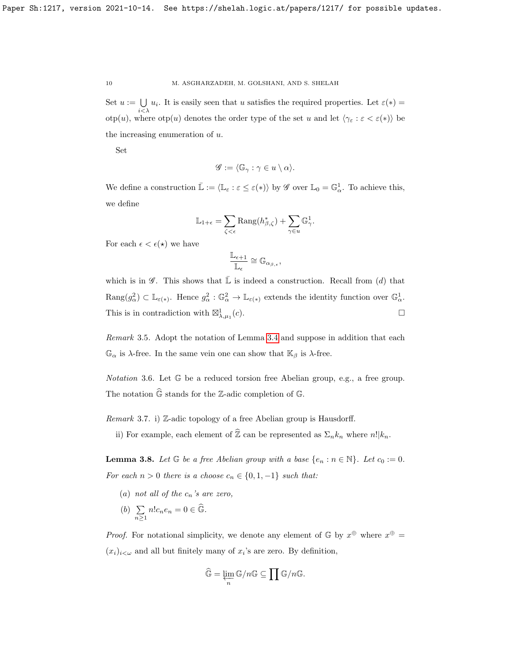Set  $u := \bigcup$  $\bigcup_{i<\lambda} u_i$ . It is easily seen that u satisfies the required properties. Let  $\varepsilon(*)$  =  $otp(u)$ , where  $otp(u)$  denotes the order type of the set u and let  $\langle \gamma_{\varepsilon} : \varepsilon < \varepsilon(*) \rangle$  be the increasing enumeration of  $u$ .

Set

$$
\mathscr{G} := \langle \mathbb{G}_{\gamma} : \gamma \in u \setminus \alpha \rangle.
$$

We define a construction  $\mathbb{L} := \langle \mathbb{L}_{\varepsilon} : \varepsilon \leq \varepsilon(*) \rangle$  by  $\mathscr{G}$  over  $\mathbb{L}_{0} = \mathbb{G}_{\alpha}^{1}$ . To achieve this, we define

$$
\mathbb{L}_{1+\epsilon} = \sum_{\zeta < \epsilon} \text{Rang}(h_{\beta,\zeta}^*) + \sum_{\gamma \in u} \mathbb{G}_\gamma^1.
$$

For each  $\epsilon < \epsilon(*)$  we have

$$
\frac{\mathbb{L}_{\epsilon+1}}{\mathbb{L}_{\epsilon}}\cong \mathbb{G}_{\alpha_{\beta,\epsilon}},
$$

which is in  $\mathscr{G}$ . This shows that  $\bar{\mathbb{L}}$  is indeed a construction. Recall from (d) that  $\text{Rang}(g_\alpha^2) \subset \mathbb{L}_{\varepsilon(*)}$ . Hence  $g_\alpha^2 : \mathbb{G}_\alpha^2 \to \mathbb{L}_{\varepsilon(*)}$  extends the identity function over  $\mathbb{G}_\alpha^1$ . This is in contradiction with  $\boxtimes^1_{\lambda,\mu_1}$  $(c).$ 

Remark 3.5. Adopt the notation of Lemma [3.4](#page-6-0) and suppose in addition that each  $\mathbb{G}_{\alpha}$  is  $\lambda$ -free. In the same vein one can show that  $\mathbb{K}_{\beta}$  is  $\lambda$ -free.

Notation 3.6. Let G be a reduced torsion free Abelian group, e.g., a free group. The notation  $\widehat{\mathbb{G}}$  stands for the Z-adic completion of  $\mathbb{G}$ .

*Remark* 3.7. i) Z-adic topology of a free Abelian group is Hausdorff.

ii) For example, each element of  $\widehat{\mathbb{Z}}$  can be represented as  $\Sigma_n k_n$  where  $n!|k_n$ .

<span id="page-9-0"></span>**Lemma 3.8.** Let  $\mathbb{G}$  be a free Abelian group with a base  $\{e_n : n \in \mathbb{N}\}\$ . Let  $c_0 := 0$ . For each  $n > 0$  there is a choose  $c_n \in \{0, 1, -1\}$  such that:

- (a) not all of the  $c_n$ 's are zero,
- $(b) \sum$  $\sum_{n\geq 1} n!c_ne_n=0\in\widehat{\mathbb{G}}.$

*Proof.* For notational simplicity, we denote any element of  $\mathbb{G}$  by  $x^{\oplus}$  where  $x^{\oplus}$  $(x_i)_{i \leq \omega}$  and all but finitely many of  $x_i$ 's are zero. By definition,

$$
\widehat{\mathbb{G}} = \varprojlim_n \mathbb{G}/n\mathbb{G} \subseteq \prod \mathbb{G}/n\mathbb{G}.
$$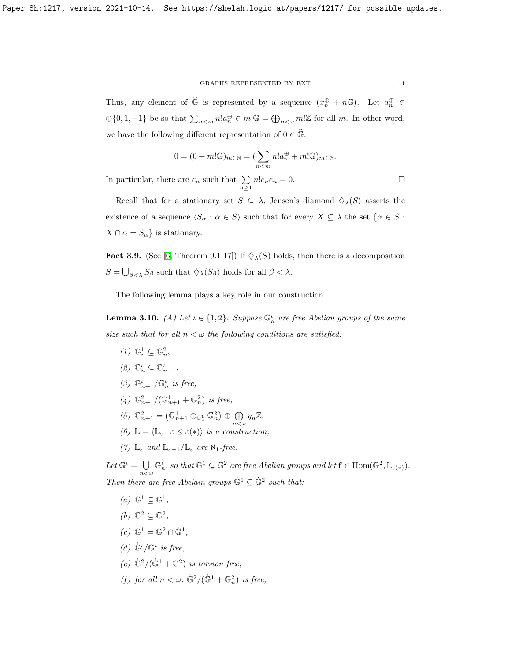#### GRAPHS REPRESENTED BY EXT  $\hfill$   $\hfill$   $\hfill$   $\hfill$   $\hfill$   $\hfill$   $\hfill$

Thus, any element of  $\widehat{\mathbb{G}}$  is represented by a sequence  $(x_n^{\oplus} + n\mathbb{G})$ . Let  $a_n^{\oplus} \in$  $\oplus\{0,1,-1\}$  be so that  $\sum_{n\leq m}n!a_n^{\oplus} \in m! \mathbb{G} = \bigoplus_{n\leq \omega}m! \mathbb{Z}$  for all m. In other word, we have the following different representation of  $0 \in \mathbb{G}$ :

$$
0 = (0 + m! \mathbb{G})_{m \in \mathbb{N}} = (\sum_{n < m} n! a_n^{\oplus} + m! \mathbb{G})_{m \in \mathbb{N}}.
$$

In particular, there are  $c_n$  such that  $\sum_{n\geq 1} n!c_ne_n = 0$ .

Recall that for a stationary set  $S \subseteq \lambda$ , Jensen's diamond  $\Diamond_{\lambda}(S)$  asserts the existence of a sequence  $\langle S_\alpha : \alpha \in S \rangle$  such that for every  $X \subseteq \lambda$  the set  $\{\alpha \in S :$  $X \cap \alpha = S_{\alpha}$  is stationary.

<span id="page-10-0"></span>**Fact 3.9.** (See [\[6,](#page-30-5) Theorem 9.1.17]) If  $\Diamond_{\lambda}(S)$  holds, then there is a decomposition  $S = \bigcup_{\beta < \lambda} S_{\beta}$  such that  $\diamondsuit_{\lambda}(S_{\beta})$  holds for all  $\beta < \lambda$ .

The following lemma plays a key role in our construction.

<span id="page-10-1"></span>**Lemma 3.10.** (A) Let  $\iota \in \{1,2\}$ . Suppose  $\mathbb{G}_n^{\iota}$  are free Abelian groups of the same size such that for all  $n < \omega$  the following conditions are satisfied:

 $(1) \ \mathbb{G}_n^1 \subseteq \mathbb{G}_n^2,$ (2)  $\mathbb{G}_n^{\iota} \subseteq \mathbb{G}_{n+1}^{\iota}$ , (3)  $\mathbb{G}_{n+1}^{\iota}/\mathbb{G}_{n}^{\iota}$  is free, (4)  $\mathbb{G}_{n+1}^2/(\mathbb{G}_{n+1}^1 + \mathbb{G}_n^2)$  is free, (5)  $\mathbb{G}_{n+1}^2 = (\mathbb{G}_{n+1}^1 \oplus_{\mathbb{G}_n^1} \mathbb{G}_n^2) \oplus \bigoplus$  $\bigoplus_{n<\omega}y_n\mathbb{Z},$ (6)  $\mathbb{L} = \langle \mathbb{L}_{\varepsilon} : \varepsilon \leq \varepsilon(*) \rangle$  is a construction, (7)  $\mathbb{L}_{\varepsilon}$  and  $\mathbb{L}_{\varepsilon+1}/\mathbb{L}_{\varepsilon}$  are  $\aleph_1$ -free.

Let  $\mathbb{G}^{\iota} = \bigcup$  $n<\omega$  $\mathbb{G}_n^{\iota}$ , so that  $\mathbb{G}^1 \subseteq \mathbb{G}^2$  are free Abelian groups and let  $\mathbf{f} \in \text{Hom}(\mathbb{G}^2, \mathbb{L}_{\varepsilon(*)})$ . Then there are free Abelain groups  $\mathbb{G}^1 \subseteq \mathbb{G}^2$  such that:

- $(a) \mathbb{G}^1 \subseteq \dot{\mathbb{G}}^1,$ (b)  $\mathbb{G}^2 \subseteq \dot{\mathbb{G}}^2$ ,
- $(c)$   $\mathbb{G}^1 = \mathbb{G}^2 \cap \dot{\mathbb{G}}^1$ ,
- (d)  $\dot{\mathbb{G}}^{\iota}/\mathbb{G}^{\iota}$  is free,
- (e)  $\dot{\mathbb{G}}^2/(\dot{\mathbb{G}}^1 + \mathbb{G}^2)$  is torsion free,
- (f) for all  $n < \omega$ ,  $\dot{\mathbb{G}}^2/(\dot{\mathbb{G}}^1 + \mathbb{G}_n^2)$  is free,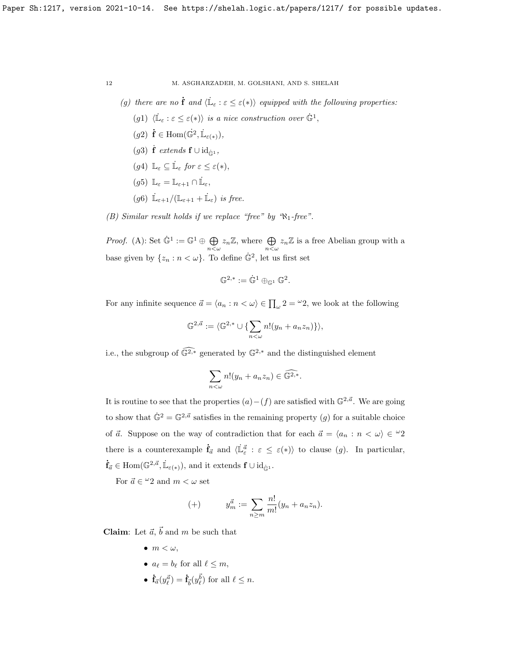- (g) there are no  $\dot{\mathbf{f}}$  and  $\langle \dot{\mathbb{L}}_{\varepsilon} : \varepsilon \leq \varepsilon(*)\rangle$  equipped with the following properties:
	- (g1)  $\langle \mathbb{L}_{\varepsilon} : \varepsilon \leq \varepsilon(*) \rangle$  is a nice construction over  $\mathbb{G}^1$ ,
	- $(g2)$   $\mathbf{\dot{f}} \in \text{Hom}(\dot{\mathbb{G}}^2, \dot{\mathbb{L}}_{\varepsilon(*)}),$
	- (g3)  $\dot{\mathbf{f}}$  extends  $\mathbf{f} \cup \text{id}_{\dot{\mathbb{G}}^1}$ ,
	- (g4)  $\mathbb{L}_{\varepsilon} \subseteq \dot{\mathbb{L}}_{\varepsilon}$  for  $\varepsilon \leq \varepsilon(*)$ ,

$$
(g5)\ \mathbb{L}_{\varepsilon}=\mathbb{L}_{\varepsilon+1}\cap\dot{\mathbb{L}}_{\varepsilon},
$$

(g6)  $\dot{\mathbb{L}}_{\varepsilon+1}/(\mathbb{L}_{\varepsilon+1} + \dot{\mathbb{L}}_{\varepsilon})$  is free.

(B) Similar result holds if we replace "free" by " $\aleph_1$ -free".

*Proof.* (A): Set  $\dot{\mathbb{G}}^1 := \mathbb{G}^1 \oplus \bigoplus$  $\bigoplus_{n<\omega}z_n\mathbb{Z}$ , where  $\bigoplus_{n<\omega}z_n\mathbb{Z}$  is a free Abelian group with a base given by  $\{z_n : n < \omega\}$ . To define  $\dot{\mathbb{G}}^2$ , let us first set

$$
\mathbb{G}^{2,*}:=\dot{\mathbb{G}}^1\oplus_{\mathbb{G}^1}\mathbb{G}^2.
$$

For any infinite sequence  $\vec{a} = \langle a_n : n \langle \omega \rangle \in \prod_{\omega} 2 = 2$ , we look at the following

$$
\mathbb{G}^{2,\vec{a}} := \langle \mathbb{G}^{2,*} \cup \{ \sum_{n<\omega} n! (y_n + a_n z_n) \} \rangle,
$$

i.e., the subgroup of  $\widehat{\mathbb{G}^{2,*}}$  generated by  $\mathbb{G}^{2,*}$  and the distinguished element

$$
\sum_{n<\omega} n!(y_n + a_n z_n) \in \widehat{\mathbb{G}^{2,*}}.
$$

It is routine to see that the properties  $(a) - (f)$  are satisfied with  $\mathbb{G}^{2,\vec{a}}$ . We are going to show that  $\dot{\mathbb{G}}^2 = \mathbb{G}^{2,\vec{a}}$  satisfies in the remaining property  $(g)$  for a suitable choice of  $\vec{a}$ . Suppose on the way of contradiction that for each  $\vec{a} = \langle a_n : n < \omega \rangle \in \mathcal{L}^2$ there is a counterexample  $\dot{\mathbf{f}}_{\vec{a}}$  and  $\langle \dot{\mathbb{L}}_{\varepsilon}^{\vec{a}} : \varepsilon \leq \varepsilon(*)\rangle$  to clause  $(g)$ . In particular,  $\dot{\mathbf{f}}_{\vec{a}} \in \text{Hom}(\mathbb{G}^{2,\vec{a}}, \dot{\mathbb{L}}_{\varepsilon(*)}), \text{ and it extends } \mathbf{f} \cup \text{id}_{\dot{\mathbb{G}}^1}.$ 

For  $\vec{a} \in \{0, 2\}$  and  $m < \omega$  set

(+) 
$$
y_m^{\vec{a}} := \sum_{n \ge m} \frac{n!}{m!} (y_n + a_n z_n).
$$

**Claim:** Let  $\vec{a}$ ,  $\vec{b}$  and m be such that

- $\bullet$   $m < \omega$ .
- $a_{\ell} = b_{\ell}$  for all  $\ell \leq m$ ,
- $\dot{\mathbf{f}}_{\vec{a}}(y_{\ell}^{\vec{a}}) = \dot{\mathbf{f}}_{\vec{b}}(y_{\ell}^{\vec{b}})$  for all  $\ell \leq n$ .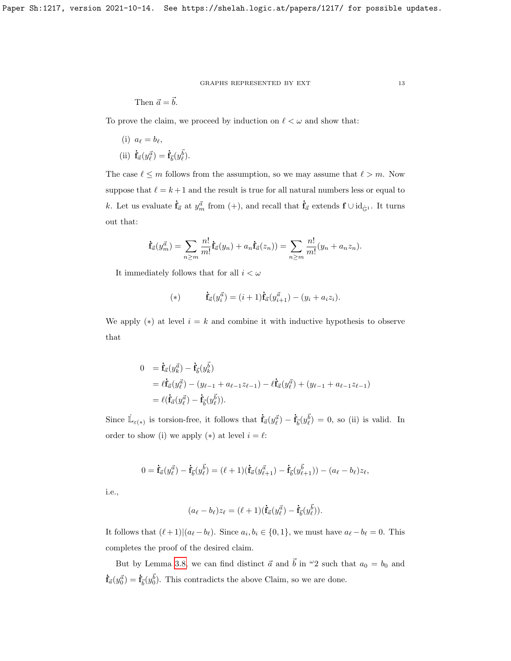Then 
$$
\vec{a} = \vec{b}
$$
.

To prove the claim, we proceed by induction on  $\ell < \omega$  and show that:

(i)  $a_{\ell} = b_{\ell}$ , (ii)  $\dot{\mathbf{f}}_{\vec{a}}(y_{\ell}^{\vec{a}}) = \dot{\mathbf{f}}_{\vec{b}}(y_{\ell}^{\vec{b}}).$ 

The case  $\ell \leq m$  follows from the assumption, so we may assume that  $\ell > m$ . Now suppose that  $\ell = k + 1$  and the result is true for all natural numbers less or equal to k. Let us evaluate  $\dot{\mathbf{f}}_{\vec{a}}$  at  $y_m^{\vec{a}}$  from  $(+)$ , and recall that  $\dot{\mathbf{f}}_{\vec{a}}$  extends  $\mathbf{f} \cup \mathrm{id}_{\dot{\mathbb{G}}^1}$ . It turns out that:

$$
\dot{\mathbf{f}}_{\vec{a}}(y_m^{\vec{a}}) = \sum_{n \ge m} \frac{n!}{m!} \dot{\mathbf{f}}_{\vec{a}}(y_n) + a_n \dot{\mathbf{f}}_{\vec{a}}(z_n) = \sum_{n \ge m} \frac{n!}{m!} (y_n + a_n z_n).
$$

It immediately follows that for all  $i < \omega$ 

(\*) 
$$
\dot{\mathbf{f}}_{\vec{a}}(y_i^{\vec{a}}) = (i+1)\dot{\mathbf{f}}_{\vec{a}}(y_{i+1}^{\vec{a}}) - (y_i + a_i z_i).
$$

We apply (\*) at level  $i = k$  and combine it with inductive hypothesis to observe that

$$
0 = \dot{\mathbf{f}}_{\vec{a}}(y_{k}^{\vec{a}}) - \dot{\mathbf{f}}_{\vec{b}}(y_{k}^{\vec{b}})
$$
  
=  $\ell \dot{\mathbf{f}}_{\vec{a}}(y_{\ell}^{\vec{a}}) - (y_{\ell-1} + a_{\ell-1}z_{\ell-1}) - \ell \dot{\mathbf{f}}_{\vec{a}}(y_{\ell}^{\vec{a}}) + (y_{\ell-1} + a_{\ell-1}z_{\ell-1})$   
=  $\ell(\dot{\mathbf{f}}_{\vec{a}}(y_{\ell}^{\vec{a}}) - \dot{\mathbf{f}}_{\vec{b}}(y_{\ell}^{\vec{b}})).$ 

Since  $\mathbb{L}_{\varepsilon(*)}$  is torsion-free, it follows that  $\dot{\mathbf{f}}_{\vec{a}}(y^{\vec{a}}_{\ell}) - \dot{\mathbf{f}}_{\vec{b}}(y^{\vec{b}}_{\ell}) = 0$ , so (ii) is valid. In order to show (i) we apply  $(*)$  at level  $i = \ell$ :

$$
0 = \dot{\mathbf{f}}_{\vec{a}}(y_{\ell}^{\vec{a}}) - \dot{\mathbf{f}}_{\vec{b}}(y_{\ell}^{\vec{b}}) = (\ell+1)(\dot{\mathbf{f}}_{\vec{a}}(y_{\ell+1}^{\vec{a}}) - \dot{\mathbf{f}}_{\vec{b}}(y_{\ell+1}^{\vec{b}})) - (a_{\ell} - b_{\ell})z_{\ell},
$$

i.e.,

$$
(a_{\ell}-b_{\ell})z_{\ell}=(\ell+1)(\dot{\mathbf{f}}_{\vec{a}}(y_{\ell}^{\vec{a}})-\dot{\mathbf{f}}_{\vec{b}}(y_{\ell}^{\vec{b}})).
$$

It follows that  $(\ell + 1)|(a_{\ell} - b_{\ell})$ . Since  $a_i, b_i \in \{0, 1\}$ , we must have  $a_{\ell} - b_{\ell} = 0$ . This completes the proof of the desired claim.

But by Lemma [3.8,](#page-9-0) we can find distinct  $\vec{a}$  and  $\vec{b}$  in  $\omega_2$  such that  $a_0 = b_0$  and  $\dot{\mathbf{f}}_{\vec{a}}(y_0^{\vec{a}}) = \dot{\mathbf{f}}_{\vec{b}}(y_0^{\vec{b}})$ . This contradicts the above Claim, so we are done.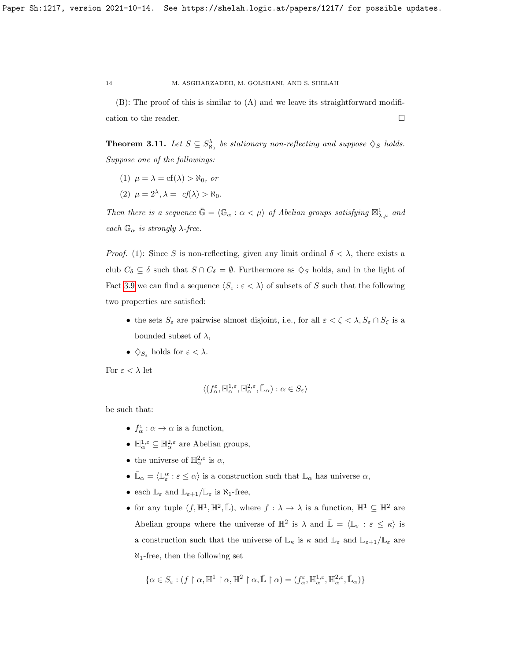(B): The proof of this is similar to (A) and we leave its straightforward modification to the reader.  $\hfill \square$ 

<span id="page-13-0"></span>**Theorem 3.11.** Let  $S \subseteq S^{\lambda}_{\aleph_0}$  be stationary non-reflecting and suppose  $\diamondsuit_S$  holds. Suppose one of the followings:

- (1)  $\mu = \lambda = cf(\lambda) > \aleph_0$ , or
- (2)  $\mu = 2^{\lambda}, \lambda = cf(\lambda) > \aleph_0.$

Then there is a sequence  $\bar{\mathbb{G}} = \langle \mathbb{G}_{\alpha} : \alpha < \mu \rangle$  of Abelian groups satisfying  $\boxtimes_{\lambda,\mu}^1$  and each  $\mathbb{G}_{\alpha}$  is strongly  $\lambda$ -free.

*Proof.* (1): Since S is non-reflecting, given any limit ordinal  $\delta < \lambda$ , there exists a club  $C_{\delta} \subseteq \delta$  such that  $S \cap C_{\delta} = \emptyset$ . Furthermore as  $\diamondsuit_S$  holds, and in the light of Fact [3.9](#page-10-0) we can find a sequence  $\langle S_\varepsilon : \varepsilon < \lambda \rangle$  of subsets of S such that the following two properties are satisfied:

- the sets  $S_{\varepsilon}$  are pairwise almost disjoint, i.e., for all  $\varepsilon < \zeta < \lambda, S_{\varepsilon} \cap S_{\zeta}$  is a bounded subset of  $\lambda$ ,
- $\diamondsuit_{S_{\varepsilon}}$  holds for  $\varepsilon < \lambda$ .

For  $\varepsilon < \lambda$  let

$$
\langle (f_{\alpha}^{\varepsilon},\mathbb{H}_{\alpha}^{1,\varepsilon},\mathbb{H}_{\alpha}^{2,\varepsilon},\bar{\mathbb{L}}_{\alpha}): \alpha \in S_{\varepsilon} \rangle
$$

be such that:

- $f_{\alpha}^{\varepsilon} : \alpha \to \alpha$  is a function,
- $\mathbb{H}_{\alpha}^{1,\varepsilon} \subseteq \mathbb{H}_{\alpha}^{2,\varepsilon}$  are Abelian groups,
- the universe of  $\mathbb{H}^{2,\varepsilon}_{\alpha}$  is  $\alpha$ ,
- $\bar{\mathbb{L}}_{\alpha} = \langle \mathbb{L}_{\varepsilon}^{\alpha} : \varepsilon \le \alpha \rangle$  is a construction such that  $\mathbb{L}_{\alpha}$  has universe  $\alpha$ ,
- each  $\mathbb{L}_{\varepsilon}$  and  $\mathbb{L}_{\varepsilon+1}/\mathbb{L}_{\varepsilon}$  is  $\aleph_1$ -free,
- for any tuple  $(f, \mathbb{H}^1, \mathbb{H}^2, \bar{\mathbb{L}})$ , where  $f : \lambda \to \lambda$  is a function,  $\mathbb{H}^1 \subseteq \mathbb{H}^2$  are Abelian groups where the universe of  $\mathbb{H}^2$  is  $\lambda$  and  $\bar{\mathbb{L}} = \langle \mathbb{L}_{\varepsilon} : \varepsilon \leq \kappa \rangle$  is a construction such that the universe of  $\mathbb{L}_{\kappa}$  is  $\kappa$  and  $\mathbb{L}_{\varepsilon}$  and  $\mathbb{L}_{\varepsilon+1}/\mathbb{L}_{\varepsilon}$  are  $\aleph_1$ -free, then the following set

$$
\{\alpha\in S_\varepsilon:(f\restriction \alpha, \mathbb{H}^1\restriction \alpha, \mathbb{H}^2\restriction \alpha, \bar{\mathbb{L}}\restriction \alpha)=(f_\alpha^\varepsilon, \mathbb{H}_\alpha^{1,\varepsilon}, \mathbb{H}_\alpha^{2,\varepsilon}, \bar{\mathbb{L}}_\alpha)\}
$$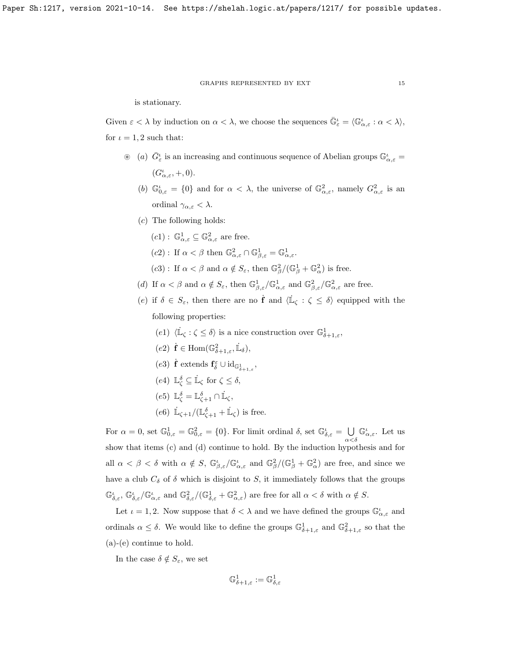is stationary.

Given  $\varepsilon < \lambda$  by induction on  $\alpha < \lambda$ , we choose the sequences  $\bar{\mathbb{G}}_{\varepsilon}^{\iota} = \langle \mathbb{G}_{\alpha,\varepsilon}^{\iota} : \alpha < \lambda \rangle$ , for  $\iota = 1, 2$  such that:

- $\otimes$  (a)  $\bar{G}^{\iota}_{\varepsilon}$  is an increasing and continuous sequence of Abelian groups  $\mathbb{G}^{\iota}_{\alpha,\varepsilon}$  =  $(G_{\alpha,\varepsilon}^{\iota},+,0).$ 
	- (b)  $\mathbb{G}_{0,\varepsilon}^{\iota} = \{0\}$  and for  $\alpha < \lambda$ , the universe of  $\mathbb{G}_{\alpha,\varepsilon}^2$ , namely  $G_{\alpha,\varepsilon}^2$  is an ordinal  $\gamma_{\alpha,\varepsilon} < \lambda$ .
	- (c) The following holds:
		- $(c1): \mathbb{G}_{\alpha,\varepsilon}^1 \subseteq \mathbb{G}_{\alpha,\varepsilon}^2$  are free.
		- $(c2)$ : If  $\alpha < \beta$  then  $\mathbb{G}^2_{\alpha,\varepsilon} \cap \mathbb{G}^1_{\beta,\varepsilon} = \mathbb{G}^1_{\alpha,\varepsilon}$ .
		- (c3): If  $\alpha < \beta$  and  $\alpha \notin S_{\varepsilon}$ , then  $\mathbb{G}_{\beta}^2/(\mathbb{G}_{\beta}^1 + \mathbb{G}_{\alpha}^2)$  is free.
	- (d) If  $\alpha < \beta$  and  $\alpha \notin S_{\varepsilon}$ , then  $\mathbb{G}^1_{\beta,\varepsilon}/\mathbb{G}^1_{\alpha,\varepsilon}$  and  $\mathbb{G}^2_{\beta,\varepsilon}/\mathbb{G}^2_{\alpha,\varepsilon}$  are free.

(e) if  $\delta \in S_{\varepsilon}$ , then there are no  $\dot{\mathbf{f}}$  and  $\langle \dot{\mathbb{L}}_{\zeta} : \zeta \leq \delta \rangle$  equipped with the following properties:

- (e1)  $\langle \dot{\mathbb{L}}_{\zeta} : \zeta \leq \delta \rangle$  is a nice construction over  $\mathbb{G}^1_{\delta+1,\varepsilon}$ ,
- $(e2)$   $\dot{\mathbf{f}} \in \text{Hom}(\mathbb{G}^2_{\delta+1,\varepsilon}, \dot{\mathbb{L}}_{\delta}),$
- (e3)  $\dot{\mathbf{f}}$  extends  $\mathbf{f}_{\delta}^{\varepsilon} \cup \mathrm{id}_{\mathbb{G}_{\delta+1,\varepsilon}^1}$ ,
- (e4)  $\mathbb{L}_{\zeta}^{\delta} \subseteq \dot{\mathbb{L}}_{\zeta}$  for  $\zeta \leq \delta$ ,
- (e5)  $\mathbb{L}_{\zeta}^{\delta} = \mathbb{L}_{\zeta+1}^{\delta} \cap \dot{\mathbb{L}}_{\zeta}$ ,
- (e6)  $\mathbb{L}_{\zeta+1}/(\mathbb{L}_{\zeta+1}^{\delta} + \mathbb{L}_{\zeta})$  is free.

For  $\alpha = 0$ , set  $\mathbb{G}^1_{0,\varepsilon} = \mathbb{G}^2_{0,\varepsilon} = \{0\}$ . For limit ordinal  $\delta$ , set  $\mathbb{G}^i_{\delta,\varepsilon} = \bigcup$  $\alpha<\delta$  $\mathbb{G}_{\alpha,\varepsilon}^{\iota}$ . Let us show that items (c) and (d) continue to hold. By the induction hypothesis and for all  $\alpha < \beta < \delta$  with  $\alpha \notin S$ ,  $\mathbb{G}^{\iota}_{\beta,\varepsilon}/\mathbb{G}^{\iota}_{\alpha,\varepsilon}$  and  $\mathbb{G}^2_{\beta}/(\mathbb{G}^1_{\beta} + \mathbb{G}^2_{\alpha})$  are free, and since we have a club  $C_{\delta}$  of  $\delta$  which is disjoint to S, it immediately follows that the groups  $\mathbb{G}_{\delta,\varepsilon}^{\iota}$ ,  $\mathbb{G}_{\delta,\varepsilon}^{\iota}/\mathbb{G}_{\alpha,\varepsilon}^{\iota}$  and  $\mathbb{G}_{\delta,\varepsilon}^{2}/(\mathbb{G}_{\delta,\varepsilon}^{1}+\mathbb{G}_{\alpha,\varepsilon}^{2})$  are free for all  $\alpha<\delta$  with  $\alpha \notin S$ .

Let  $\iota = 1, 2$ . Now suppose that  $\delta < \lambda$  and we have defined the groups  $\mathbb{G}_{\alpha,\varepsilon}^{\iota}$  and ordinals  $\alpha \leq \delta$ . We would like to define the groups  $\mathbb{G}^1_{\delta+1,\varepsilon}$  and  $\mathbb{G}^2_{\delta+1,\varepsilon}$  so that the (a)-(e) continue to hold.

In the case  $\delta \notin S_{\varepsilon}$ , we set

$$
\mathbb{G}^1_{\delta+1,\varepsilon}:=\mathbb{G}^1_{\delta,\varepsilon}
$$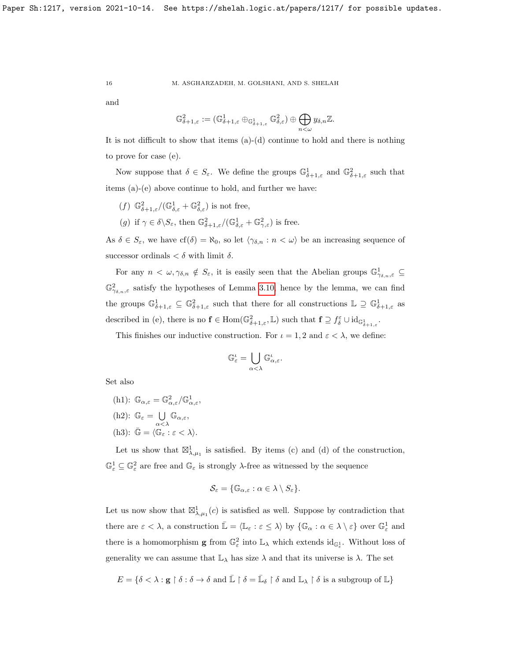and

$$
\mathbb{G}^2_{\delta+1,\varepsilon}:= (\mathbb{G}^1_{\delta+1,\varepsilon}\oplus_{\mathbb{G}^1_{\delta+1,\varepsilon}}\mathbb{G}^2_{\delta,\varepsilon})\oplus \bigoplus_{n<\omega}y_{\delta,n}\mathbb{Z}.
$$

It is not difficult to show that items  $(a)-(d)$  continue to hold and there is nothing to prove for case (e).

Now suppose that  $\delta \in S_{\varepsilon}$ . We define the groups  $\mathbb{G}^1_{\delta+1,\varepsilon}$  and  $\mathbb{G}^2_{\delta+1,\varepsilon}$  such that items (a)-(e) above continue to hold, and further we have:

- (f)  $\mathbb{G}^2_{\delta+1,\varepsilon}/(\mathbb{G}^1_{\delta,\varepsilon}+\mathbb{G}^2_{\delta,\varepsilon})$  is not free,
- (g) if  $\gamma \in \delta \backslash S_{\varepsilon}$ , then  $\mathbb{G}^2_{\delta+1,\varepsilon}/(\mathbb{G}^1_{\delta,\varepsilon} + \mathbb{G}^2_{\gamma,\varepsilon})$  is free.

As  $\delta \in S_{\varepsilon}$ , we have  $cf(\delta) = \aleph_0$ , so let  $\langle \gamma_{\delta,n} : n \langle \omega \rangle$  be an increasing sequence of successor ordinals  $< \delta$  with limit  $\delta$ .

For any  $n < \omega, \gamma_{\delta,n} \notin S_{\varepsilon}$ , it is easily seen that the Abelian groups  $\mathbb{G}^1_{\gamma_{\delta,n},\varepsilon} \subseteq$  $\mathbb{G}^2_{\gamma_{\delta,n},\varepsilon}$  satisfy the hypotheses of Lemma [3.10,](#page-10-1) hence by the lemma, we can find the groups  $\mathbb{G}^1_{\delta+1,\varepsilon} \subseteq \mathbb{G}^2_{\delta+1,\varepsilon}$  such that there for all constructions  $\mathbb{L} \supseteq \mathbb{G}^1_{\delta+1,\varepsilon}$  as described in (e), there is no  $f \in \text{Hom}(\mathbb{G}^2_{\delta+1,\varepsilon}, \mathbb{L})$  such that  $f \supseteq f_{\delta}^{\varepsilon} \cup \text{id}_{\mathbb{G}^1_{\delta+1,\varepsilon}}$ .

This finishes our inductive construction. For  $\iota = 1, 2$  and  $\varepsilon < \lambda$ , we define:

$$
\mathbb G_\varepsilon^\iota=\bigcup_{\alpha<\lambda}\mathbb G_{\alpha,\varepsilon}^\iota.
$$

Set also

- (h1):  $\mathbb{G}_{\alpha,\varepsilon} = \mathbb{G}_{\alpha,\varepsilon}^2/\mathbb{G}_{\alpha,\varepsilon}^1$ , (h2):  $\mathbb{G}_{\varepsilon} = \bigcup$  $\bigcup_{\alpha<\lambda} \mathbb{G}_{\alpha,\varepsilon},$
- (h3):  $\bar{\mathbb{G}} = \langle \mathbb{G}_{\varepsilon} : \varepsilon < \lambda \rangle.$

Let us show that  $\mathbb{Z}_{\lambda,\mu_1}^1$  is satisfied. By items (c) and (d) of the construction,  $\mathbb{G}^1_\varepsilon\subseteq\mathbb{G}^2_\varepsilon$  are free and  $\mathbb{G}_\varepsilon$  is strongly  $\lambda\text{-free}$  as witnessed by the sequence

$$
\mathcal{S}_{\varepsilon} = \{ \mathbb{G}_{\alpha, \varepsilon} : \alpha \in \lambda \setminus S_{\varepsilon} \}.
$$

Let us now show that  $\mathbb{Z}_{\lambda,\mu_1}^1(c)$  is satisfied as well. Suppose by contradiction that there are  $\varepsilon < \lambda$ , a construction  $\mathbb{L} = \langle \mathbb{L}_{\varepsilon} : \varepsilon \leq \lambda \rangle$  by  $\{\mathbb{G}_{\alpha} : \alpha \in \lambda \setminus \varepsilon\}$  over  $\mathbb{G}_{\varepsilon}^1$  and there is a homomorphism **g** from  $\mathbb{G}^2_{\varepsilon}$  into  $\mathbb{L}_{\lambda}$  which extends  $id_{\mathbb{G}^1_{\varepsilon}}$ . Without loss of generality we can assume that  $\mathbb{L}_{\lambda}$  has size  $\lambda$  and that its universe is  $\lambda$ . The set

$$
E = \{ \delta < \lambda : \mathbf{g} \restriction \delta : \delta \to \delta \text{ and } \bar{\mathbb{L}} \restriction \delta = \bar{\mathbb{L}}_{\delta} \restriction \delta \text{ and } \mathbb{L}_{\lambda} \restriction \delta \text{ is a subgroup of } \mathbb{L} \}
$$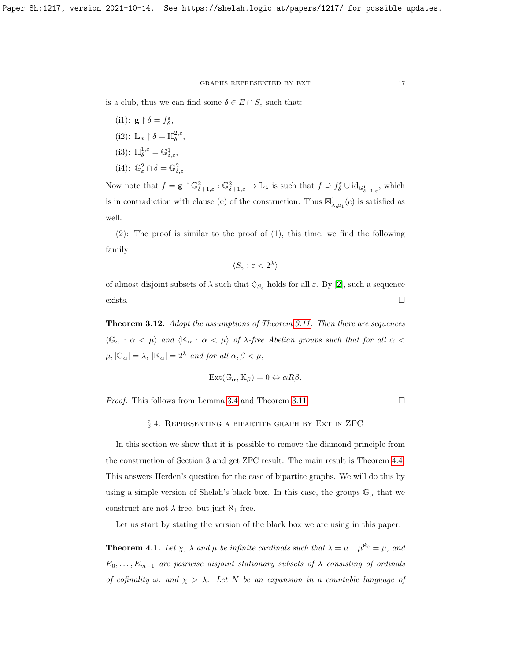is a club, thus we can find some  $\delta \in E \cap S_{\varepsilon}$  such that:

- (i1):  $\mathbf{g} \restriction \delta = f_{\delta}^{\varepsilon}$ , (i2):  $\mathbb{L}_{\kappa} \restriction \delta = \mathbb{H}_{\delta}^{2,\varepsilon}$ , (i3):  $\mathbb{H}_{\delta}^{1,\varepsilon} = \mathbb{G}_{\delta,\varepsilon}^1$ ,
- (i4):  $\mathbb{G}^2_{\varepsilon} \cap \delta = \mathbb{G}^2_{\delta, \varepsilon}$ .

Now note that  $f = \mathbf{g} \restriction \mathbb{G}_{\delta+1,\varepsilon}^2 : \mathbb{G}_{\delta+1,\varepsilon}^2 \to \mathbb{L}_{\lambda}$  is such that  $f \supseteq f_{\delta}^{\varepsilon} \cup \mathrm{id}_{\mathbb{G}_{\delta+1,\varepsilon}^1}$ , which is in contradiction with clause (e) of the construction. Thus  $\mathbb{Z}_{\lambda,\mu_1}^1(c)$  is satisfied as well.

(2): The proof is similar to the proof of (1), this time, we find the following family

$$
\langle S_\varepsilon:\varepsilon<2^\lambda\rangle
$$

of almost disjoint subsets of  $\lambda$  such that  $\Diamond_{S_{\varepsilon}}$  holds for all  $\varepsilon$ . By [\[2\]](#page-30-8), such a sequence exists.  $\Box$ 

<span id="page-16-0"></span>**Theorem 3.12.** Adopt the assumptions of Theorem [3.11.](#page-13-0) Then there are sequences  $\langle\mathbb{G}_{\alpha}:\alpha<\mu\rangle$  and  $\langle\mathbb{K}_{\alpha}:\alpha<\mu\rangle$  of  $\lambda$ -free Abelian groups such that for all  $\alpha<\mu$  $\mu, |\mathbb{G}_{\alpha}| = \lambda, |\mathbb{K}_{\alpha}| = 2^{\lambda}$  and for all  $\alpha, \beta < \mu$ ,

$$
Ext(\mathbb{G}_{\alpha}, \mathbb{K}_{\beta}) = 0 \Leftrightarrow \alpha R \beta.
$$

*Proof.* This follows from Lemma [3.4](#page-6-0) and Theorem [3.11.](#page-13-0)

# § 4. Representing a bipartite graph by Ext in ZFC

In this section we show that it is possible to remove the diamond principle from the construction of Section 3 and get ZFC result. The main result is Theorem [4.4.](#page-22-0) This answers Herden's question for the case of bipartite graphs. We will do this by using a simple version of Shelah's black box. In this case, the groups  $\mathbb{G}_{\alpha}$  that we construct are not  $\lambda$ -free, but just  $\aleph_1$ -free.

Let us start by stating the version of the black box we are using in this paper.

<span id="page-16-1"></span>**Theorem 4.1.** Let  $\chi$ ,  $\lambda$  and  $\mu$  be infinite cardinals such that  $\lambda = \mu^+, \mu^{\aleph_0} = \mu$ , and  $E_0, \ldots, E_{m-1}$  are pairwise disjoint stationary subsets of  $\lambda$  consisting of ordinals of cofinality  $\omega$ , and  $\chi > \lambda$ . Let N be an expansion in a countable language of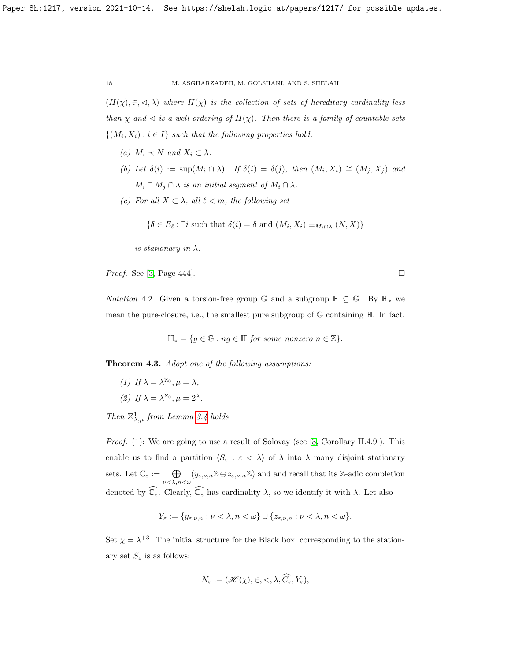$(H(\chi), \in, \leq, \lambda)$  where  $H(\chi)$  is the collection of sets of hereditary cardinality less than  $\chi$  and  $\lhd$  is a well ordering of  $H(\chi)$ . Then there is a family of countable sets  $\{(M_i, X_i) : i \in I\}$  such that the following properties hold:

- (a)  $M_i \prec N$  and  $X_i \subset \lambda$ .
- (b) Let  $\delta(i) := \sup(M_i \cap \lambda)$ . If  $\delta(i) = \delta(j)$ , then  $(M_i, X_i) \cong (M_j, X_j)$  and  $M_i \cap M_j \cap \lambda$  is an initial segment of  $M_i \cap \lambda$ .
- (c) For all  $X \subset \lambda$ , all  $\ell < m$ , the following set

$$
\{\delta \in E_{\ell} : \exists i \text{ such that } \delta(i) = \delta \text{ and } (M_i, X_i) \equiv_{M_i \cap \lambda} (N, X)\}
$$

is stationary in  $\lambda$ .

*Proof.* See [\[3,](#page-30-7) Page 444].

*Notation* 4.2. Given a torsion-free group  $\mathbb{G}$  and a subgroup  $\mathbb{H} \subseteq \mathbb{G}$ . By  $\mathbb{H}_*$  we mean the pure-closure, i.e., the smallest pure subgroup of  $\mathbb G$  containing  $\mathbb H$ . In fact,

$$
\mathbb{H}_{*} = \{ g \in \mathbb{G} : ng \in \mathbb{H} \text{ for some nonzero } n \in \mathbb{Z} \}.
$$

<span id="page-17-0"></span>Theorem 4.3. Adopt one of the following assumptions:

(1) If 
$$
\lambda = \lambda^{\aleph_0}
$$
,  $\mu = \lambda$ ,  
(2) If  $\lambda = \lambda^{\aleph_0}$ ,  $\mu = 2^{\lambda}$ .

Then  $\boxtimes_{\lambda,\mu}^1$  from Lemma [3.4](#page-6-0) holds.

*Proof.* (1): We are going to use a result of Solovay (see [\[3,](#page-30-7) Corollary II.4.9]). This enable us to find a partition  $\langle S_\varepsilon : \varepsilon < \lambda \rangle$  of  $\lambda$  into  $\lambda$  many disjoint stationary sets. Let  $\mathbb{C}_{\varepsilon} := \bigoplus_{\nu \leq \lambda, n \leq \omega} (y_{\varepsilon,\nu,n} \mathbb{Z} \oplus z_{\varepsilon,\nu,n} \mathbb{Z})$  and and recall that its Z-adic completion denoted by  $\widehat{\mathbb{C}_{\varepsilon}}$ . Clearly,  $\widehat{\mathbb{C}_{\varepsilon}}$  has cardinality  $\lambda$ , so we identify it with  $\lambda$ . Let also

$$
Y_{\varepsilon} := \{ y_{\varepsilon,\nu,n} : \nu < \lambda, n < \omega \} \cup \{ z_{\varepsilon,\nu,n} : \nu < \lambda, n < \omega \}.
$$

Set  $\chi = \lambda^{+3}$ . The initial structure for the Black box, corresponding to the stationary set  $S_{\varepsilon}$  is as follows:

$$
N_{\varepsilon} := (\mathscr{H}(\chi), \in, \langle \lambda, \widehat{C_{\varepsilon}}, Y_{\varepsilon}),
$$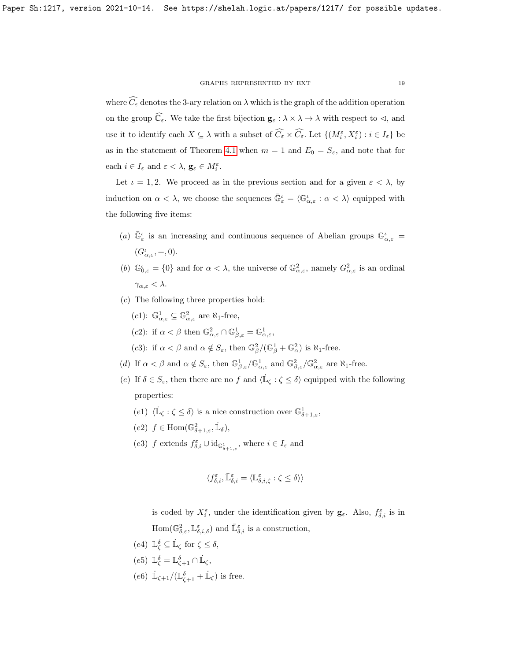where  $\widehat{C}_{\varepsilon}$  denotes the 3-ary relation on  $\lambda$  which is the graph of the addition operation on the group  $\widehat{\mathbb{C}_\varepsilon}$ . We take the first bijection  $\mathbf{g}_\varepsilon:\lambda\times\lambda\to\lambda$  with respect to  $\lhd$ , and use it to identify each  $X \subseteq \lambda$  with a subset of  $\widehat{C_{\varepsilon}} \times \widehat{C_{\varepsilon}}$ . Let  $\{(M_i^{\varepsilon}, X_i^{\varepsilon}) : i \in I_{\varepsilon}\}\)$ as in the statement of Theorem [4.1](#page-16-1) when  $m = 1$  and  $E_0 = S_{\varepsilon}$ , and note that for each  $i \in I_{\varepsilon}$  and  $\varepsilon < \lambda$ ,  $\mathbf{g}_{\varepsilon} \in M_i^{\varepsilon}$ .

Let  $\iota = 1, 2$ . We proceed as in the previous section and for a given  $\varepsilon < \lambda$ , by induction on  $\alpha < \lambda$ , we choose the sequences  $\bar{\mathbb{G}}_{\varepsilon}^{\iota} = \langle \mathbb{G}_{\alpha,\varepsilon}^{\iota} : \alpha < \lambda \rangle$  equipped with the following five items:

- (a)  $\bar{\mathbb{G}}_{\varepsilon}^{\iota}$  is an increasing and continuous sequence of Abelian groups  $\mathbb{G}_{\alpha,\varepsilon}^{\iota}$  =  $(G_{\alpha,\varepsilon}^{\iota},+,0).$
- (b)  $\mathbb{G}_{0,\varepsilon}^{\iota} = \{0\}$  and for  $\alpha < \lambda$ , the universe of  $\mathbb{G}_{\alpha,\varepsilon}^2$ , namely  $G_{\alpha,\varepsilon}^2$  is an ordinal  $\gamma_{\alpha,\varepsilon} < \lambda$ .
- (c) The following three properties hold:

\n- (c1): 
$$
\mathbb{G}_{\alpha,\varepsilon}^1 \subseteq \mathbb{G}_{\alpha,\varepsilon}^2
$$
 are  $\aleph_1$ -free,
\n- (c2): if  $\alpha < \beta$  then  $\mathbb{G}_{\alpha,\varepsilon}^2 \cap \mathbb{G}_{\beta,\varepsilon}^1 = \mathbb{G}_{\alpha,\varepsilon}^1$ ,
\n- (c3): if  $\alpha < \beta$  and  $\alpha \notin S_{\varepsilon}$ , then  $\mathbb{G}_{\beta}^2/(\mathbb{G}_{\beta}^1 + \mathbb{G}_{\alpha}^2)$  is  $\aleph_1$ -free.
\n

- (d) If  $\alpha < \beta$  and  $\alpha \notin S_{\varepsilon}$ , then  $\mathbb{G}^1_{\beta,\varepsilon}/\mathbb{G}^1_{\alpha,\varepsilon}$  and  $\mathbb{G}^2_{\beta,\varepsilon}/\mathbb{G}^2_{\alpha,\varepsilon}$  are  $\aleph_1$ -free.
- (e) If  $\delta \in S_{\varepsilon}$ , then there are no f and  $\langle \mathbb{L}_{\zeta} : \zeta \leq \delta \rangle$  equipped with the following properties:
	- (e1)  $\langle \dot{\mathbb{L}}_{\zeta} : \zeta \leq \delta \rangle$  is a nice construction over  $\mathbb{G}^1_{\delta+1,\varepsilon}$ ,
	- (e2)  $f \in \text{Hom}(\mathbb{G}^2_{\delta+1,\varepsilon}, \mathbb{L}_{\delta}),$
	- (e3) f extends  $f_{\delta,i}^{\varepsilon} \cup \mathrm{id}_{\mathbb{G}_{\delta+1,\varepsilon}^1}$ , where  $i \in I_{\varepsilon}$  and

$$
\langle f^{\varepsilon}_{\delta,i},\bar{\mathbb{L}}^{\varepsilon}_{\delta,i}=\langle \mathbb{L}^{\varepsilon}_{\delta,i,\zeta}:\zeta\leq \delta\rangle\rangle
$$

is coded by  $X_i^{\varepsilon}$ , under the identification given by  $\mathbf{g}_{\varepsilon}$ . Also,  $f_{\delta,i}^{\varepsilon}$  is in  $\text{Hom}(\mathbb{G}^2_{\delta,\varepsilon},\mathbb{L}^{\varepsilon}_{\delta,i,\delta})$  and  $\bar{\mathbb{L}}^{\varepsilon}_{\delta,i}$  is a construction,

- (e4)  $\mathbb{L}_{\zeta}^{\delta} \subseteq \dot{\mathbb{L}}_{\zeta}$  for  $\zeta \leq \delta$ ,
- (e5)  $\mathbb{L}_{\zeta}^{\delta} = \mathbb{L}_{\zeta+1}^{\delta} \cap \dot{\mathbb{L}}_{\zeta},$
- (e6)  $\mathbb{L}_{\zeta+1}/(\mathbb{L}_{\zeta+1}^{\delta} + \mathbb{L}_{\zeta})$  is free.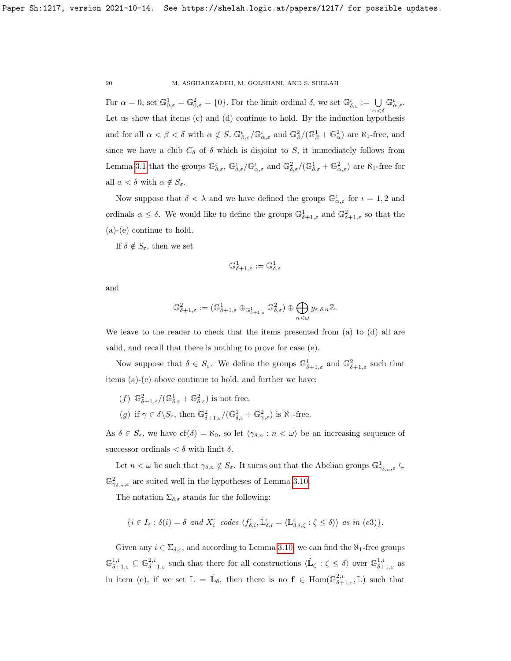For  $\alpha = 0$ , set  $\mathbb{G}^1_{0,\varepsilon} = \mathbb{G}^2_{0,\varepsilon} = \{0\}$ . For the limit ordinal  $\delta$ , we set  $\mathbb{G}^{\iota}_{\delta,\varepsilon} := \bigcup_{\alpha < \delta}$  $\mathbb{G}_{\alpha,\varepsilon}^{\iota}$ . Let us show that items (c) and (d) continue to hold. By the induction hypothesis and for all  $\alpha < \beta < \delta$  with  $\alpha \notin S$ ,  $\mathbb{G}^{\iota}_{\beta,\varepsilon}/\mathbb{G}^{\iota}_{\alpha,\varepsilon}$  and  $\mathbb{G}^2_{\beta}/(\mathbb{G}^1_{\beta} + \mathbb{G}^2_{\alpha})$  are  $\aleph_1$ -free, and since we have a club  $C_{\delta}$  of  $\delta$  which is disjoint to S, it immediately follows from Lemma [3.1](#page-5-0) that the groups  $\mathbb{G}_{\delta,\varepsilon}^{\iota}$ ,  $\mathbb{G}_{\delta,\varepsilon}^{\iota}/\mathbb{G}_{\alpha,\varepsilon}^{\iota}$  and  $\mathbb{G}_{\delta,\varepsilon}^{2}/(\mathbb{G}_{\delta,\varepsilon}^{1}+\mathbb{G}_{\alpha,\varepsilon}^{2})$  are  $\aleph_{1}$ -free for all  $\alpha < \delta$  with  $\alpha \notin S_{\varepsilon}$ .

Now suppose that  $\delta < \lambda$  and we have defined the groups  $\mathbb{G}_{\alpha,\varepsilon}^{\iota}$  for  $\iota = 1,2$  and ordinals  $\alpha \leq \delta$ . We would like to define the groups  $\mathbb{G}^1_{\delta+1,\varepsilon}$  and  $\mathbb{G}^2_{\delta+1,\varepsilon}$  so that the (a)-(e) continue to hold.

If  $\delta \notin S_{\varepsilon}$ , then we set

$$
\mathbb{G}^1_{\delta+1,\varepsilon}:=\mathbb{G}^1_{\delta,\varepsilon}
$$

and

$$
\mathbb{G}^2_{\delta+1,\varepsilon} := (\mathbb{G}^1_{\delta+1,\varepsilon} \oplus_{\mathbb{G}^1_{\delta+1,\varepsilon}} \mathbb{G}^2_{\delta,\varepsilon}) \oplus \bigoplus_{n < \omega} y_{\varepsilon,\delta,n} \mathbb{Z}.
$$

We leave to the reader to check that the items presented from (a) to (d) all are valid, and recall that there is nothing to prove for case (e).

Now suppose that  $\delta \in S_{\varepsilon}$ . We define the groups  $\mathbb{G}^1_{\delta+1,\varepsilon}$  and  $\mathbb{G}^2_{\delta+1,\varepsilon}$  such that items (a)-(e) above continue to hold, and further we have:

- (f)  $\mathbb{G}^2_{\delta+1,\varepsilon}/(\mathbb{G}^1_{\delta,\varepsilon}+\mathbb{G}^2_{\delta,\varepsilon})$  is not free,
- (g) if  $\gamma \in \delta \backslash S_{\varepsilon}$ , then  $\mathbb{G}^2_{\delta+1,\varepsilon}/(\mathbb{G}^1_{\delta,\varepsilon} + \mathbb{G}^2_{\gamma,\varepsilon})$  is  $\aleph_1$ -free.

As  $\delta \in S_{\varepsilon}$ , we have  $cf(\delta) = \aleph_0$ , so let  $\langle \gamma_{\delta,n} : n \langle \omega \rangle$  be an increasing sequence of successor ordinals  $< \delta$  with limit  $\delta$ .

Let  $n < \omega$  be such that  $\gamma_{\delta,n} \notin S_{\varepsilon}$ . It turns out that the Abelian groups  $\mathbb{G}^1_{\gamma_{\delta,n},\varepsilon} \subseteq$  $\mathbb{G}^2_{\gamma_{\delta,n},\varepsilon}$  are suited well in the hypotheses of Lemma [3.10.](#page-10-1)

The notation  $\Sigma_{\delta,\varepsilon}$  stands for the following:

$$
\{i \in I_{\varepsilon} : \delta(i) = \delta \text{ and } X_i^{\varepsilon} \text{ codes } \langle f_{\delta,i}^{\varepsilon}, \overline{\mathbb{L}}_{\delta,i}^{\varepsilon} = \langle \mathbb{L}_{\delta,i,\zeta}^{\varepsilon} : \zeta \leq \delta \rangle \} \text{ as in (e3)}\}.
$$

Given any  $i \in \Sigma_{\delta,\varepsilon}$ , and according to Lemma [3.10,](#page-10-1) we can find the  $\aleph_1$ -free groups  $\mathbb{G}_{\delta+1,\varepsilon}^{1,i} \subseteq \mathbb{G}_{\delta+1,\varepsilon}^{2,i}$  such that there for all constructions  $\langle \mathbb{L}_{\zeta} : \zeta \leq \delta \rangle$  over  $\mathbb{G}_{\delta+1,\varepsilon}^{1,i}$  as in item (e), if we set  $\mathbb{L} = \dot{\mathbb{L}}_{\delta}$ , then there is no  $f \in Hom(\mathbb{G}^{2,i}_{\delta+1,\varepsilon},\mathbb{L})$  such that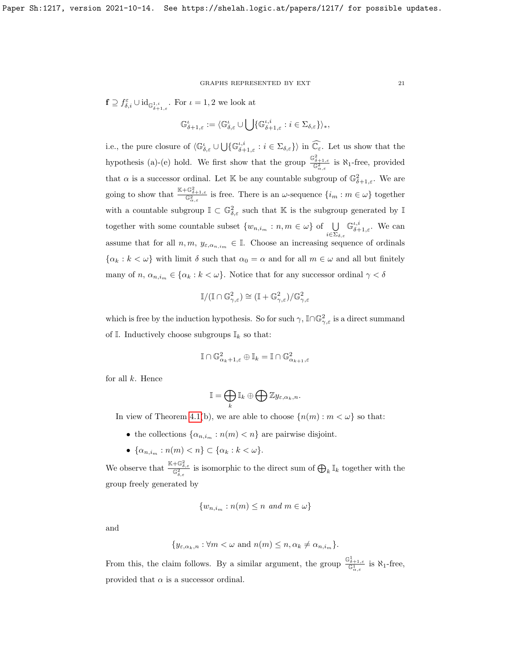$\mathbf{f} \supseteq f_{\delta,i}^{\varepsilon} \cup \mathrm{id}_{\mathbb{G}_{\delta+1,\varepsilon}^{1,i}}$ . For  $\iota = 1,2$  we look at

$$
\mathbb{G}^{\iota}_{\delta+1,\varepsilon}:=\langle \mathbb{G}^{\iota}_{\delta,\varepsilon}\cup \bigcup \{ \mathbb{G}^{\iota,i}_{\delta+1,\varepsilon} : i\in \Sigma_{\delta,\varepsilon} \}\rangle_*,
$$

i.e., the pure closure of  $\langle \mathbb{G}_{\delta,\varepsilon}^{\iota} \cup \bigcup \{ \mathbb{G}_{\delta+1,\varepsilon}^{\iota,i} : i \in \Sigma_{\delta,\varepsilon} \} \rangle$  in  $\widehat{\mathbb{C}_{\varepsilon}}$ . Let us show that the hypothesis (a)-(e) hold. We first show that the group  $\frac{\mathbb{G}_{\delta+1,\varepsilon}^2}{\mathbb{G}_{\alpha,\varepsilon}^2}$  is  $\aleph_1$ -free, provided that  $\alpha$  is a successor ordinal. Let K be any countable subgroup of  $\mathbb{G}_{\delta+1,\varepsilon}^2$ . We are going to show that  $\frac{\mathbb{K} + \mathbb{G}_{\delta+1,\varepsilon}^2}{\mathbb{G}_{\alpha,\varepsilon}^2}$  is free. There is an  $\omega$ -sequence  $\{i_m : m \in \omega\}$  together with a countable subgroup  $\mathbb{I} \subset \mathbb{G}^2_{\delta,\varepsilon}$  such that K is the subgroup generated by  $\mathbb{I}$ together with some countable subset  $\{w_{n,i_m}: n,m \in \omega\}$  of  $\bigcup_{i \in \Sigma_{\delta,\varepsilon}}$  $\mathbb{G}_{\delta+1,\varepsilon}^{\iota,i}$ . We can assume that for all  $n, m, y_{\varepsilon,\alpha_{n,i_m}} \in \mathbb{I}$ . Choose an increasing sequence of ordinals  $\{\alpha_k : k < \omega\}$  with limit  $\delta$  such that  $\alpha_0 = \alpha$  and for all  $m \in \omega$  and all but finitely many of  $n, \alpha_{n,i_m} \in \{\alpha_k : k \in \omega\}$ . Notice that for any successor ordinal  $\gamma < \delta$ 

$$
\mathbb{I}/(\mathbb{I}\cap \mathbb{G}^2_{\gamma,\varepsilon})\cong (\mathbb{I}+\mathbb{G}^2_{\gamma,\varepsilon})/\mathbb{G}^2_{\gamma,\varepsilon}
$$

which is free by the induction hypothesis. So for such  $\gamma$ ,  $\mathbb{I}\cap\mathbb{G}_{\gamma,\varepsilon}^2$  is a direct summand of  $\mathbb{I}$ . Inductively choose subgroups  $\mathbb{I}_k$  so that:

$$
\mathbb{I}\cap\mathbb{G}_{\alpha_k+1,\varepsilon}^2\oplus\mathbb{I}_k=\mathbb{I}\cap\mathbb{G}_{\alpha_{k+1},\varepsilon}^2
$$

for all  $k$ . Hence

$$
\mathbb{I}=\bigoplus_{k}\mathbb{I}_{k}\oplus\bigoplus\mathbb{Z}y_{\varepsilon,\alpha_{k},n}.
$$

In view of Theorem [4.1\(](#page-16-1)b), we are able to choose  $\{n(m): m < \omega\}$  so that:

- the collections  $\{\alpha_{n,i_m} : n(m) < n\}$  are pairwise disjoint.
- $\{\alpha_{n,i_m} : n(m) < n\} \subset \{\alpha_k : k < \omega\}.$

We observe that  $\frac{\mathbb{K}+\mathbb{G}_{\delta,\varepsilon}^2}{\mathbb{G}_{\delta,\varepsilon}^2}$  is isomorphic to the direct sum of  $\bigoplus_k \mathbb{I}_k$  together with the group freely generated by

$$
\{w_{n,i_m}: n(m) \le n \text{ and } m \in \omega\}
$$

and

$$
\{y_{\varepsilon,\alpha_k,n}:\forall m<\omega\,\,\text{and}\,\,n(m)\leq n,\alpha_k\neq\alpha_{n,i_m}\}.
$$

From this, the claim follows. By a similar argument, the group  $\frac{\mathbb{G}^1_{\delta+1,\varepsilon}}{\mathbb{G}^1_{\alpha,\varepsilon}}$  is  $\aleph_1$ -free, provided that  $\alpha$  is a successor ordinal.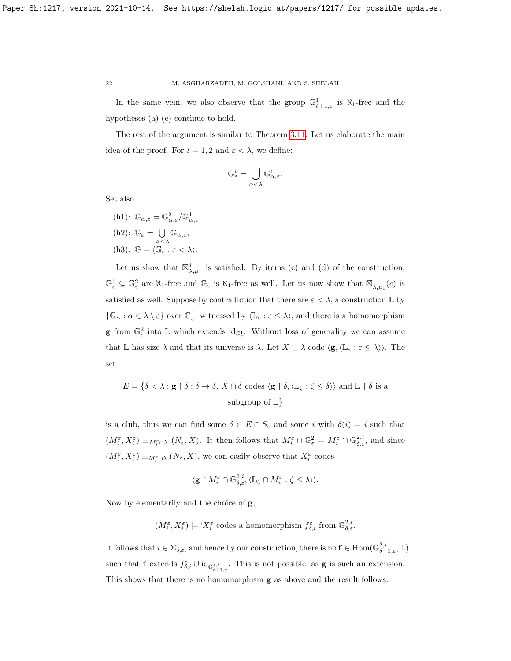In the same vein, we also observe that the group  $\mathbb{G}^1_{\delta+1,\varepsilon}$  is  $\aleph_1$ -free and the hypotheses (a)-(e) continue to hold.

The rest of the argument is similar to Theorem [3.11.](#page-13-0) Let us elaborate the main idea of the proof. For  $\iota = 1, 2$  and  $\varepsilon < \lambda$ , we define:

$$
\mathbb G_\varepsilon^\iota=\bigcup_{\alpha<\lambda}\mathbb G_{\alpha,\varepsilon}^\iota.
$$

Set also

(h1):  $\mathbb{G}_{\alpha,\varepsilon} = \mathbb{G}_{\alpha,\varepsilon}^2/\mathbb{G}_{\alpha,\varepsilon}^1$ , (h2):  $\mathbb{G}_{\varepsilon} = \bigcup$  $\bigcup_{\alpha<\lambda} \mathbb{G}_{\alpha,\varepsilon},$ (h3):  $\bar{\mathbb{G}} = \langle \mathbb{G}_{\varepsilon} : \varepsilon < \lambda \rangle.$ 

Let us show that  $\mathbb{Z}_{\lambda,\mu_1}^1$  is satisfied. By items (c) and (d) of the construction,  $\mathbb{G}^1_{\varepsilon} \subseteq \mathbb{G}^2_{\varepsilon}$  are  $\aleph_1$ -free and  $\mathbb{G}_{\varepsilon}$  is  $\aleph_1$ -free as well. Let us now show that  $\boxtimes^1_{\lambda,\mu_1}(c)$  is satisfied as well. Suppose by contradiction that there are  $\varepsilon < \lambda$ , a construction  $\mathbb L$  by  $\{\mathbb{G}_{\alpha}: \alpha \in \lambda \setminus \varepsilon\}$  over  $\mathbb{G}_{\varepsilon}^1$ , witnessed by  $\langle \mathbb{L}_{\varepsilon} : \varepsilon \leq \lambda \rangle$ , and there is a homomorphism **g** from  $\mathbb{G}^2_{\varepsilon}$  into  $\mathbb{L}$  which extends  $id_{\mathbb{G}^1_{\varepsilon}}$ . Without loss of generality we can assume that L has size  $\lambda$  and that its universe is  $\lambda$ . Let  $X \subseteq \lambda$  code  $\langle \mathbf{g},\langle \mathbb{L}_{\varepsilon} : \varepsilon \leq \lambda \rangle \rangle$ . The set

$$
E = \{ \delta < \lambda : \mathbf{g} \restriction \delta : \delta \to \delta, \ X \cap \delta \text{ codes } \langle \mathbf{g} \restriction \delta, \langle \mathbb{L}_{\zeta} : \zeta \leq \delta \rangle \rangle \text{ and } \mathbb{L} \restriction \delta \text{ is a subgroup of } \mathbb{L} \}
$$

is a club, thus we can find some  $\delta \in E \cap S_{\varepsilon}$  and some i with  $\delta(i) = i$  such that  $(M_i^{\varepsilon}, X_i^{\varepsilon}) \equiv_{M_i^{\varepsilon} \cap \lambda} (N_{\varepsilon}, X)$ . It then follows that  $M_i^{\varepsilon} \cap \mathbb{G}_{\varepsilon}^2 = M_i^{\varepsilon} \cap \mathbb{G}_{\delta, \varepsilon}^{2,i}$ , and since  $(M_i^\varepsilon, X_i^\varepsilon) \equiv_{M_i^\varepsilon \cap \lambda} (N_\varepsilon, X),$  we can easily observe that  $X_i^\varepsilon$  codes

$$
\langle \mathbf{g}\restriction M_i^\varepsilon\cap \mathbb{G}^{2,i}_{\delta,\varepsilon}, \langle \mathbb{L}_\zeta\cap M_i^\varepsilon:\zeta\leq \lambda \rangle \rangle.
$$

Now by elementarily and the choice of g,

 $(M_i^{\varepsilon}, X_i^{\varepsilon}) \models "X_i^{\varepsilon}$  codes a homomorphism  $f_{\delta,i}^{\varepsilon}$  from  $\mathbb{G}_{\delta,\varepsilon}^{2,i}$ .

It follows that  $i \in \Sigma_{\delta,\varepsilon}$ , and hence by our construction, there is no  $\mathbf{f} \in \text{Hom}(\mathbb{G}_{\delta+1,\varepsilon}^{2,i}, \mathbb{L})$ such that **f** extends  $f_{\delta,i}^{\varepsilon} \cup \mathrm{id}_{\mathbb{G}_{\delta+1,\varepsilon}^{1,i}}$ . This is not possible, as **g** is such an extension. This shows that there is no homomorphism g as above and the result follows.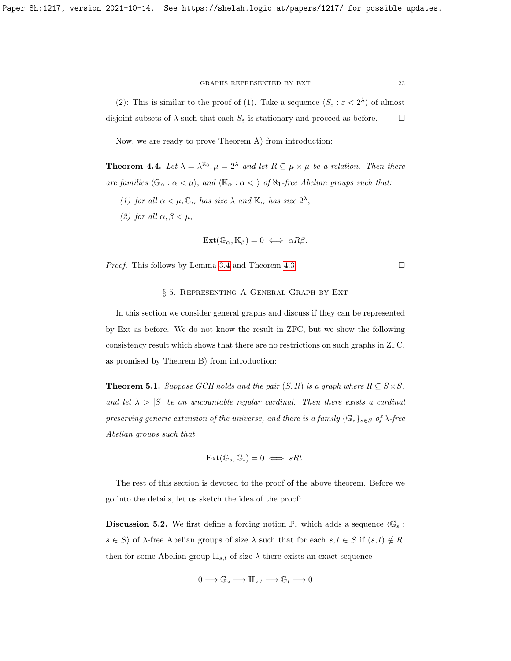(2): This is similar to the proof of (1). Take a sequence  $\langle S_{\varepsilon} : \varepsilon < 2^{\lambda} \rangle$  of almost disjoint subsets of  $\lambda$  such that each  $S_{\varepsilon}$  is stationary and proceed as before.  $\Box$ 

Now, we are ready to prove Theorem A) from introduction:

<span id="page-22-0"></span>**Theorem 4.4.** Let  $\lambda = \lambda^{\aleph_0}, \mu = 2^{\lambda}$  and let  $R \subseteq \mu \times \mu$  be a relation. Then there are families  $\langle \mathbb{G}_{\alpha} : \alpha < \mu \rangle$ , and  $\langle \mathbb{K}_{\alpha} : \alpha < \rangle$  of  $\aleph_1$ -free Abelian groups such that:

- (1) for all  $\alpha < \mu$ ,  $\mathbb{G}_{\alpha}$  has size  $\lambda$  and  $\mathbb{K}_{\alpha}$  has size  $2^{\lambda}$ ,
- (2) for all  $\alpha, \beta < \mu$ ,

$$
Ext(\mathbb{G}_{\alpha}, \mathbb{K}_{\beta}) = 0 \iff \alpha R \beta.
$$

*Proof.* This follows by Lemma [3.4](#page-6-0) and Theorem [4.3.](#page-17-0)

# § 5. Representing A General Graph by Ext

In this section we consider general graphs and discuss if they can be represented by Ext as before. We do not know the result in ZFC, but we show the following consistency result which shows that there are no restrictions on such graphs in ZFC, as promised by Theorem B) from introduction:

<span id="page-22-1"></span>**Theorem 5.1.** Suppose GCH holds and the pair  $(S, R)$  is a graph where  $R \subseteq S \times S$ , and let  $\lambda > |S|$  be an uncountable regular cardinal. Then there exists a cardinal preserving generic extension of the universe, and there is a family  $\{\mathbb{G}_s\}_{s\in S}$  of  $\lambda$ -free Abelian groups such that

$$
Ext(\mathbb{G}_s, \mathbb{G}_t) = 0 \iff sRt.
$$

The rest of this section is devoted to the proof of the above theorem. Before we go into the details, let us sketch the idea of the proof:

**Discussion 5.2.** We first define a forcing notion  $\mathbb{P}_*$  which adds a sequence  $\langle \mathbb{G}_s :$  $s \in S$  of  $\lambda$ -free Abelian groups of size  $\lambda$  such that for each  $s, t \in S$  if  $(s, t) \notin R$ , then for some Abelian group  $\mathbb{H}_{s,t}$  of size  $\lambda$  there exists an exact sequence

$$
0 \longrightarrow \mathbb{G}_s \longrightarrow \mathbb{H}_{s,t} \longrightarrow \mathbb{G}_t \longrightarrow 0
$$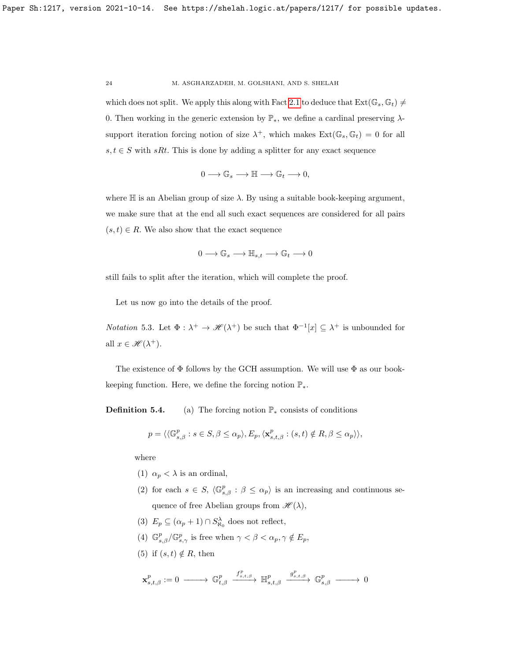which does not split. We apply this along with Fact [2.1](#page-3-0) to deduce that  $\text{Ext}(\mathbb{G}_{s}, \mathbb{G}_{t}) \neq$ 0. Then working in the generic extension by  $\mathbb{P}_*$ , we define a cardinal preserving  $\lambda$ support iteration forcing notion of size  $\lambda^+$ , which makes  $\text{Ext}(\mathbb{G}_s, \mathbb{G}_t) = 0$  for all  $s, t \in S$  with  $sRt$ . This is done by adding a splitter for any exact sequence

$$
0 \longrightarrow \mathbb{G}_s \longrightarrow \mathbb{H} \longrightarrow \mathbb{G}_t \longrightarrow 0,
$$

where  $\mathbb H$  is an Abelian group of size  $\lambda$ . By using a suitable book-keeping argument, we make sure that at the end all such exact sequences are considered for all pairs  $(s, t) \in R$ . We also show that the exact sequence

$$
0 \longrightarrow \mathbb{G}_s \longrightarrow \mathbb{H}_{s,t} \longrightarrow \mathbb{G}_t \longrightarrow 0
$$

still fails to split after the iteration, which will complete the proof.

Let us now go into the details of the proof.

*Notation* 5.3. Let  $\Phi : \lambda^+ \to \mathscr{H}(\lambda^+)$  be such that  $\Phi^{-1}[x] \subseteq \lambda^+$  is unbounded for all  $x \in \mathcal{H}(\lambda^+).$ 

The existence of  $\Phi$  follows by the GCH assumption. We will use  $\Phi$  as our bookkeeping function. Here, we define the forcing notion  $\mathbb{P}_*$ .

**Definition 5.4.** (a) The forcing notion  $\mathbb{P}_*$  consists of conditions

$$
p = \langle \langle \mathbb{G}_{s,\beta}^p : s \in S, \beta \le \alpha_p \rangle, E_p, \langle \mathbf{x}_{s,t,\beta}^p : (s,t) \notin R, \beta \le \alpha_p \rangle \rangle,
$$

where

- (1)  $\alpha_p < \lambda$  is an ordinal,
- (2) for each  $s \in S$ ,  $\langle \mathbb{G}_{s,\beta}^p : \beta \leq \alpha_p \rangle$  is an increasing and continuous sequence of free Abelian groups from  $\mathscr{H}(\lambda)$ ,
- (3)  $E_p \subseteq (\alpha_p + 1) \cap S^{\lambda}_{\aleph_0}$  does not reflect,
- (4)  $\mathbb{G}_{s,\beta}^p/\mathbb{G}_{s,\gamma}^p$  is free when  $\gamma < \beta < \alpha_p, \gamma \notin E_p$ ,
- (5) if  $(s, t) \notin R$ , then

$$
\mathbf{x}^p_{s,t,\beta}:=0 \ \longrightarrow \ \mathbb{G}^p_{t,\beta} \ \xrightarrow{\ f^p_{s,t,\beta}} \ \mathbb{H}^p_{s,t,\beta} \ \xrightarrow{\ g^p_{s,t,\beta}} \ \mathbb{G}^p_{s,\beta} \ \longrightarrow \ 0
$$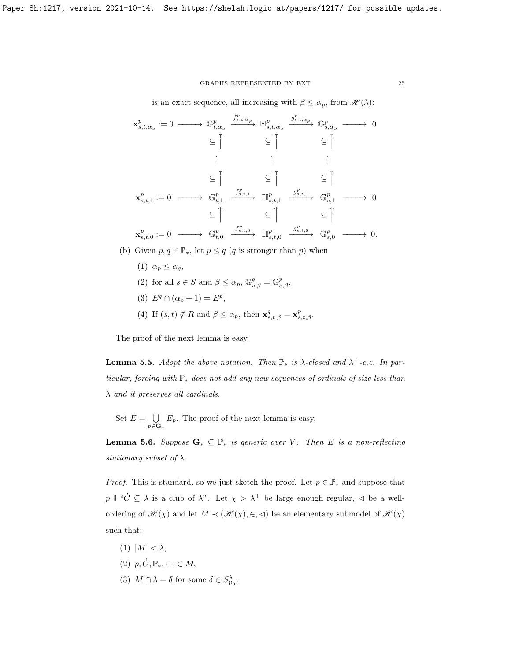### GRAPHS REPRESENTED BY EXT  $\hspace{1.5cm} 25$

is an exact sequence, all increasing with  $\beta \leq \alpha_p$ , from  $\mathscr{H}(\lambda)$ :

$$
\mathbf{x}_{s,t,\alpha_p}^p := 0 \longrightarrow \mathbb{G}_{t,\alpha_p}^p \xrightarrow{f_{s,t,\alpha_p}^p} \mathbb{H}_{s,t,\alpha_p}^p \xrightarrow{g_{s,t,\alpha_p}^p} \mathbb{G}_{s,\alpha_p}^p \longrightarrow 0
$$
  
\n
$$
\subseteq \uparrow \qquad \subseteq \uparrow \qquad \subseteq \uparrow \qquad \subseteq \uparrow
$$
  
\n
$$
\mathbf{x}_{s,t,1}^p := 0 \longrightarrow \mathbb{G}_{t,1}^p \xrightarrow{f_{s,t,1}^p} \mathbb{H}_{s,t,1}^p \xrightarrow{g_{s,t,1}^p} \mathbb{G}_{s,1}^p \longrightarrow 0
$$
  
\n
$$
\subseteq \uparrow \qquad \subseteq \uparrow \qquad \subseteq \uparrow \qquad \subseteq \uparrow
$$
  
\n
$$
\mathbf{x}_{s,t,0}^p := 0 \longrightarrow \mathbb{G}_{t,0}^p \xrightarrow{f_{s,t,0}^p} \mathbb{H}_{s,t,0}^p \xrightarrow{g_{s,t,0}^p} \mathbb{G}_{s,0}^p \longrightarrow 0.
$$

- (b) Given  $p, q \in \mathbb{P}_*$ , let  $p \leq q$  (q is stronger than p) when
	- (1)  $\alpha_p \leq \alpha_q$ ,
	- (2) for all  $s \in S$  and  $\beta \leq \alpha_p$ ,  $\mathbb{G}_{s,\beta}^q = \mathbb{G}_{s,\beta}^p$ ,
	- (3)  $E^q \cap (\alpha_p + 1) = E^p$ ,
	- (4) If  $(s, t) \notin R$  and  $\beta \leq \alpha_p$ , then  $\mathbf{x}_{s,t,\beta}^q = \mathbf{x}_{s,t,\beta}^p$ .

The proof of the next lemma is easy.

**Lemma 5.5.** Adopt the above notation. Then  $\mathbb{P}_*$  is  $\lambda$ -closed and  $\lambda^+$ -c.c. In particular, forcing with  $\mathbb{P}_*$  does not add any new sequences of ordinals of size less than  $\lambda$  and it preserves all cardinals.

Set  $E = \bigcup$  $\bigcup_{p\in\mathbf{G}_{*}} E_{p}.$  The proof of the next lemma is easy.

<span id="page-24-0"></span>**Lemma 5.6.** Suppose  $G_* \subseteq \mathbb{P}_*$  is generic over V. Then E is a non-reflecting stationary subset of  $\lambda$ .

*Proof.* This is standard, so we just sketch the proof. Let  $p \in \mathbb{P}_{*}$  and suppose that  $p \Vdash ``\dot{C} \subseteq \lambda$  is a club of  $\lambda$ ". Let  $\chi > \lambda^+$  be large enough regular,  $\lhd$  be a wellordering of  $\mathscr{H}(\chi)$  and let  $M \prec (\mathscr{H}(\chi), \in, \leq)$  be an elementary submodel of  $\mathscr{H}(\chi)$ such that:

- (1)  $|M| < \lambda$ ,
- $(2)$   $p, \dot{C}, \mathbb{P}_*, \dots \in M$ ,
- (3)  $M \cap \lambda = \delta$  for some  $\delta \in S^{\lambda}_{\aleph_0}$ .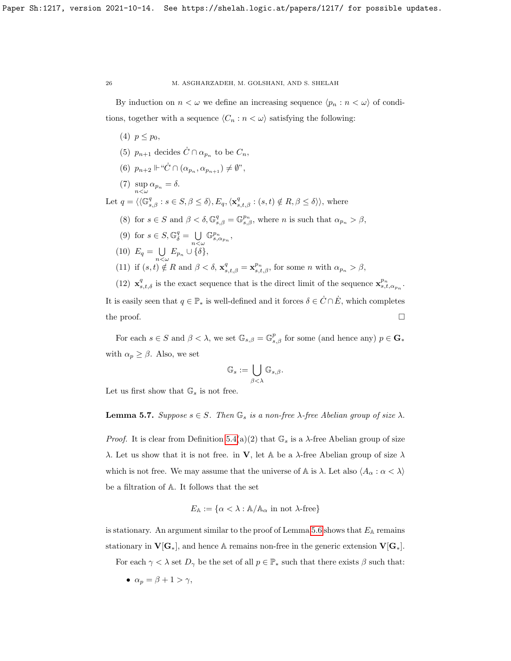By induction on  $n < \omega$  we define an increasing sequence  $\langle p_n : n < \omega \rangle$  of conditions, together with a sequence  $\langle C_n : n < \omega \rangle$  satisfying the following:

- (4)  $p \leq p_0$ ,
- (5)  $p_{n+1}$  decides  $\dot{C} \cap \alpha_{p_n}$  to be  $C_n$ ,
- (6)  $p_{n+2} \Vdash ``\dot{C} \cap (\alpha_{p_n}, \alpha_{p_{n+1}}) \neq \emptyset$ ",
- (7)  $\sup_{n<\omega} \alpha_{p_n} = \delta.$

Let  $q = \langle \langle \mathbb{G}_{s,\beta}^q : s \in S, \beta \leq \delta \rangle, E_q, \langle \mathbf{x}_{s,t,\beta}^q : (s,t) \notin R, \beta \leq \delta \rangle \rangle$ , where

- (8) for  $s \in S$  and  $\beta < \delta, \mathbb{G}_{s,\beta}^q = \mathbb{G}_{s,\beta}^{p_n}$ , where n is such that  $\alpha_{p_n} > \beta$ ,
- (9) for  $s \in S$ ,  $\mathbb{G}_{\delta}^q = \bigcup$  $n<\omega$  $\mathbb{G}_{s,\alpha_{p_n}}^{p_n}$

$$
(10) \ E_q = \bigcup_{n < \omega} E_{p_n} \cup \{\delta\},
$$

(11) if  $(s,t) \notin R$  and  $\beta < \delta$ ,  $\mathbf{x}_{s,t,\beta}^q = \mathbf{x}_{s,t,\beta}^{p_n}$ , for some n with  $\alpha_{p_n} > \beta$ ,

(12)  $\mathbf{x}_{s,t,\delta}^q$  is the exact sequence that is the direct limit of the sequence  $\mathbf{x}_{s,t,\alpha_{p_n}}^{p_n}$ . It is easily seen that  $q \in \mathbb{P}_*$  is well-defined and it forces  $\delta \in \dot{C} \cap \dot{E}$ , which completes the proof.  $\Box$ 

For each  $s \in S$  and  $\beta < \lambda$ , we set  $\mathbb{G}_{s,\beta} = \mathbb{G}_{s,\beta}^p$  for some (and hence any)  $p \in \mathbf{G}_{*}$ with  $\alpha_p \geq \beta$ . Also, we set

$$
\mathbb{G}_s:=\bigcup_{\beta<\lambda}\mathbb{G}_{s,\beta}.
$$

Let us first show that  $\mathbb{G}_s$  is not free.

# **Lemma 5.7.** Suppose  $s \in S$ . Then  $\mathbb{G}_s$  is a non-free  $\lambda$ -free Abelian group of size  $\lambda$ .

*Proof.* It is clear from Definition [5.4\(](#page-0-0)a)(2) that  $\mathbb{G}_s$  is a  $\lambda$ -free Abelian group of size λ. Let us show that it is not free. in **V**, let A be a λ-free Abelian group of size λ which is not free. We may assume that the universe of A is  $\lambda$ . Let also  $\langle A_{\alpha} : \alpha < \lambda \rangle$ be a filtration of A. It follows that the set

$$
E_{\mathbb{A}} := \{ \alpha < \lambda : \mathbb{A}/\mathbb{A}_{\alpha} \text{ in not } \lambda \text{-free} \}
$$

is stationary. An argument similar to the proof of Lemma [5.6](#page-24-0) shows that  $E_A$  remains stationary in  $V[G_*]$ , and hence A remains non-free in the generic extension  $V[G_*]$ .

For each  $\gamma < \lambda$  set  $D_{\gamma}$  be the set of all  $p \in \mathbb{P}_{*}$  such that there exists  $\beta$  such that:

•  $\alpha_n = \beta + 1 > \gamma$ ,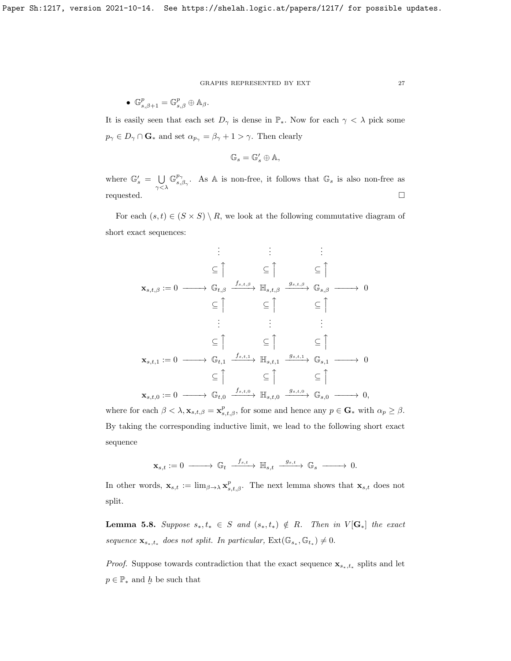• 
$$
\mathbb{G}_{s,\beta+1}^p = \mathbb{G}_{s,\beta}^p \oplus \mathbb{A}_{\beta}.
$$

It is easily seen that each set  $D_{\gamma}$  is dense in  $\mathbb{P}_{*}$ . Now for each  $\gamma < \lambda$  pick some  $p_{\gamma} \in D_{\gamma} \cap \mathbf{G}_{*}$  and set  $\alpha_{p_{\gamma}} = \beta_{\gamma} + 1 > \gamma$ . Then clearly

$$
\mathbb{G}_s=\mathbb{G}'_s\oplus \mathbb{A},
$$

where  $\mathbb{G}'_s = \bigcup$  $\gamma<\lambda$  $\mathbb{G}^{p_{\gamma}}$  $\mathbb{P}^{\gamma}_{s,\beta_{\gamma}}$ . As A is non-free, it follows that  $\mathbb{G}_{s}$  is also non-free as requested.

For each  $(s, t) \in (S \times S) \setminus R$ , we look at the following commutative diagram of short exact sequences:

. . . . . . . . . ⊆ x <sup>⊆</sup> x <sup>⊆</sup> x xs,t,β := 0 −−−−→ Gt,β <sup>f</sup>s,t,β −−−−→ <sup>H</sup>s,t,β <sup>g</sup>s,t,β −−−−→ <sup>G</sup>s,β −−−−→ <sup>0</sup> ⊆ x <sup>⊆</sup> x <sup>⊆</sup> x . . . . . . . . . ⊆ x <sup>⊆</sup> x <sup>⊆</sup> x xs,t,<sup>1</sup> := 0 −−−−→ Gt,<sup>1</sup> <sup>f</sup>s,t,<sup>1</sup> −−−−→ <sup>H</sup>s,t,<sup>1</sup> <sup>g</sup>s,t,<sup>1</sup> −−−−→ <sup>G</sup>s,<sup>1</sup> −−−−→ <sup>0</sup> ⊆ x <sup>⊆</sup> x <sup>⊆</sup> x xs,t,<sup>0</sup> := 0 −−−−→ Gt,<sup>0</sup> <sup>f</sup>s,t,<sup>0</sup> −−−−→ <sup>H</sup>s,t,<sup>0</sup> <sup>g</sup>s,t,<sup>0</sup> −−−−→ <sup>G</sup>s,<sup>0</sup> −−−−→ <sup>0</sup>,

where for each  $\beta < \lambda$ ,  $\mathbf{x}_{s,t,\beta} = \mathbf{x}_{s,t,\beta}^p$ , for some and hence any  $p \in \mathbf{G}_{*}$  with  $\alpha_p \geq \beta$ . By taking the corresponding inductive limit, we lead to the following short exact sequence

$$
\mathbf{x}_{s,t}:=0 \ \longrightarrow \ \mathbb{G}_t \ \xrightarrow{\ \ f_{s,t}\ \ } \mathbb{H}_{s,t} \ \xrightarrow{\ \ g_{s,t}\ \ } \mathbb{G}_s \ \longrightarrow \ \ 0.
$$

In other words,  $\mathbf{x}_{s,t} := \lim_{\beta \to \lambda} \mathbf{x}_{s,t,\beta}^p$ . The next lemma shows that  $\mathbf{x}_{s,t}$  does not split.

<span id="page-26-0"></span>**Lemma 5.8.** Suppose  $s_*, t_* \in S$  and  $(s_*, t_*) \notin R$ . Then in  $V[G_*]$  the exact sequence  $\mathbf{x}_{s_*,t_*}$  does not split. In particular,  $\text{Ext}(\mathbb{G}_{s_*}, \mathbb{G}_{t_*}) \neq 0$ .

*Proof.* Suppose towards contradiction that the exact sequence  $\mathbf{x}_{s_*,t_*}$  splits and let  $p \in \mathbb{P}_{*}$  and  $\underline{h}$  be such that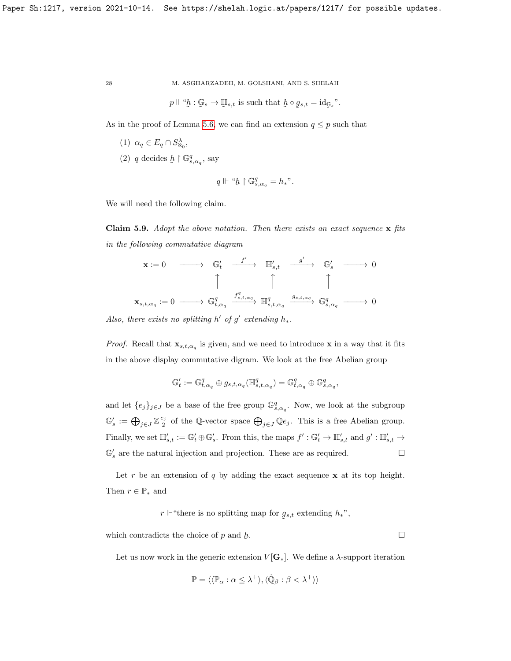$$
p \Vdash ``b : \mathcal{G}_s \to \mathcal{H}_{s,t}
$$
 is such that  $b \circ g_{s,t} = \mathrm{id}_{\mathcal{G}_s}"$ .

As in the proof of Lemma [5.6,](#page-24-0) we can find an extension  $q \leq p$  such that

- (1)  $\alpha_q \in E_q \cap S_{\aleph_0}^{\lambda}$ ,
- (2)  $q$  decides  $h$  $\restriction{\mathbb{G}}^{q}_{s,\alpha_{q}},$  say

$$
q\Vdash\text{``}\underline{h}\restriction \mathbb{G}^q_{s,\alpha_q}=h_*\text{''}.
$$

We will need the following claim.

Claim 5.9. Adopt the above notation. Then there exists an exact sequence  $x$  fits in the following commutative diagram

x := 0 −−−−→ G<sup>0</sup> t f 0 −−−−→ H<sup>0</sup> s,t g 0 −−−−→ G<sup>0</sup> <sup>s</sup> −−−−→ 0 x x x xs,t,α<sup>q</sup> := 0 −−−−→ G q t,α<sup>q</sup> f q s,t,αq −−−−→ H q s,t,α<sup>q</sup> <sup>g</sup>s,t,αq −−−−→ <sup>G</sup><sup>q</sup> s,α<sup>q</sup> −−−−→ 0

Also, there exists no splitting  $h'$  of  $g'$  extending  $h_*$ .

*Proof.* Recall that  $\mathbf{x}_{s,t,\alpha_q}$  is given, and we need to introduce x in a way that it fits in the above display commutative digram. We look at the free Abelian group

$$
\mathbb{G}'_t:=\mathbb{G}^q_{t, \alpha_q}\oplus g_{s, t, \alpha_q}({\mathbb H}^q_{s, t, \alpha_q})=\mathbb{G}^q_{t, \alpha_q}\oplus \mathbb{G}^q_{s, \alpha_q},
$$

and let  $\{e_j\}_{j\in J}$  be a base of the free group  $\mathbb{G}^q_{s,\alpha_q}$ . Now, we look at the subgroup  $\mathbb{G}'_s := \bigoplus_{j \in J} \mathbb{Z}_{2}^{\underline{e_j}}$  of the Q-vector space  $\bigoplus_{j \in J} \mathbb{Q}e_j$ . This is a free Abelian group. Finally, we set  $\mathbb{H}'_{s,t} := \mathbb{G}'_t \oplus \mathbb{G}'_s$ . From this, the maps  $f' : \mathbb{G}'_t \to \mathbb{H}'_{s,t}$  and  $g' : \mathbb{H}'_{s,t} \to$  $\mathbb{G}_s'$  are the natural injection and projection. These are as required.  $\hfill \Box$ 

Let r be an extension of q by adding the exact sequence  $x$  at its top height. Then  $r \in \mathbb{P}_{*}$  and

> $r \Vdash$  "there is no splitting map for g ˜  $s,t$  extending  $h_*$ ",

which contradicts the choice of  $p$  and  $\underline{h}$ . <u>Данија и подата се подата се по</u>

Let us now work in the generic extension  $V[\mathbf{G}_*]$ . We define a  $\lambda$ -support iteration

$$
\mathbb{P} = \langle \langle \mathbb{P}_{\alpha} : \alpha \leq \lambda^+ \rangle, \langle \dot{\mathbb{Q}}_{\beta} : \beta < \lambda^+ \rangle \rangle
$$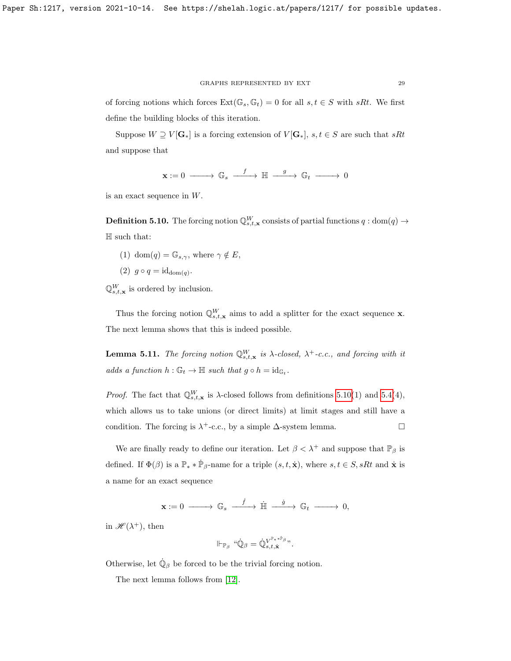of forcing notions which forces  $\text{Ext}(\mathbb{G}_s, \mathbb{G}_t) = 0$  for all  $s, t \in S$  with  $sRt$ . We first define the building blocks of this iteration.

Suppose  $W \supseteq V[\mathbf{G}_*]$  is a forcing extension of  $V[\mathbf{G}_*]$ ,  $s, t \in S$  are such that  $sRt$ and suppose that

$$
\mathbf{x}:=0\ \longrightarrow\ \mathbb{G}_{s}\ \stackrel{f}{\xrightarrow{\hspace*{1cm}}} \mathbb{H}\ \stackrel{g}{\xrightarrow{\hspace*{1cm}}} \mathbb{G}_{t}\ \longrightarrow\ 0
$$

is an exact sequence in W.

<span id="page-28-0"></span>**Definition 5.10.** The forcing notion  $\mathbb{Q}_{s,t,\mathbf{x}}^W$  consists of partial functions  $q: \text{dom}(q) \to$  $\mathbb H$  such that:

- (1) dom(q) =  $\mathbb{G}_{s,\gamma}$ , where  $\gamma \notin E$ ,
- (2)  $g \circ q = \mathrm{id}_{\mathrm{dom}(q)}$ .

 $\mathbb{Q}_{s,t,\mathbf{x}}^{W}$  is ordered by inclusion.

Thus the forcing notion  $\mathbb{Q}_{s,t,\mathbf{x}}^W$  aims to add a splitter for the exact sequence **x**. The next lemma shows that this is indeed possible.

**Lemma 5.11.** The forcing notion  $\mathbb{Q}_{s,t,\mathbf{x}}^W$  is  $\lambda$ -closed,  $\lambda^+$ -c.c., and forcing with it adds a function  $h : \mathbb{G}_t \to \mathbb{H}$  such that  $g \circ h = id_{\mathbb{G}_t}$ .

*Proof.* The fact that  $\mathbb{Q}_{s,t,\mathbf{x}}^W$  is  $\lambda$ -closed follows from definitions [5.10\(](#page-28-0)1) and [5.4\(](#page-0-0)4), which allows us to take unions (or direct limits) at limit stages and still have a condition. The forcing is  $\lambda^+$ -c.c., by a simple  $\Delta$ -system lemma.

We are finally ready to define our iteration. Let  $\beta < \lambda^+$  and suppose that  $\mathbb{P}_\beta$  is defined. If  $\Phi(\beta)$  is a  $\mathbb{P}_* * \dot{\mathbb{P}}_{\beta}$ -name for a triple  $(s, t, \dot{\mathbf{x}})$ , where  $s, t \in S$ , sRt and  $\dot{\mathbf{x}}$  is a name for an exact sequence

$$
\mathbf{x}:=0\ \longrightarrow\ \mathbb{G}_s\ \stackrel{f}{-\!\!\!-\!\!\!-\!\!\!-\!\!\!-\!\!\!\longrightarrow}\ \dot{\mathbb{H}}\ \stackrel{g}{-\!\!\!-\!\!\!\longrightarrow}\ \mathbb{G}_t\ \longrightarrow\ \mathbf{0},
$$

in  $\mathscr{H}(\lambda^+),$  then

$$
\Vdash_{\mathbb{P}_\beta} ``\dot{\mathbb{Q}}_\beta=\dot{\mathbb{Q}}_{s,t,\dot{\mathbf{x}}}^{V^{\mathbb{P}**\dot{\mathbb{P}}_\beta}}".
$$

Otherwise, let  $\dot{\mathbb{Q}}_{\beta}$  be forced to be the trivial forcing notion.

The next lemma follows from [\[12\]](#page-30-9).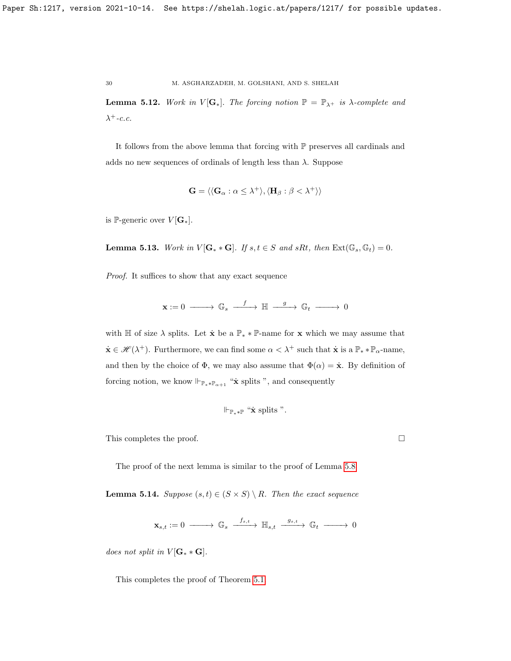**Lemma 5.12.** Work in  $V[G_*]$ . The forcing notion  $\mathbb{P} = \mathbb{P}_{\lambda^+}$  is  $\lambda$ -complete and  $\lambda^+$ -c.c.

It follows from the above lemma that forcing with P preserves all cardinals and adds no new sequences of ordinals of length less than  $\lambda$ . Suppose

$$
\mathbf{G} = \langle \langle \mathbf{G}_{\alpha} : \alpha \leq \lambda^{+} \rangle, \langle \mathbf{H}_{\beta} : \beta < \lambda^{+} \rangle \rangle
$$

is P-generic over  $V[G_*].$ 

**Lemma 5.13.** Work in  $V[\mathbf{G}_* * \mathbf{G}]$ . If  $s, t \in S$  and  $sRt$ , then  $\text{Ext}(\mathbb{G}_s, \mathbb{G}_t) = 0$ .

Proof. It suffices to show that any exact sequence

$$
\mathbf{x} := 0 \longrightarrow \mathbb{G}_s \xrightarrow{f} \mathbb{H} \xrightarrow{g} \mathbb{G}_t \longrightarrow 0
$$

with H of size  $\lambda$  splits. Let  $\dot{\mathbf{x}}$  be a  $\mathbb{P}_* * \mathbb{P}$ -name for  $\mathbf{x}$  which we may assume that  $\dot{\mathbf{x}} \in \mathcal{H}(\lambda^+)$ . Furthermore, we can find some  $\alpha < \lambda^+$  such that  $\dot{\mathbf{x}}$  is a  $\mathbb{P}_* * \mathbb{P}_\alpha$ -name, and then by the choice of  $\Phi$ , we may also assume that  $\Phi(\alpha) = \dot{\mathbf{x}}$ . By definition of forcing notion, we know  $\Vdash_{\mathbb{P}_**\mathbb{P}_{\alpha+1}}$  " $\dot{\mathbf{x}}$  splits ", and consequently

$$
\Vdash_{\mathbb{P}_**\mathbb{P}} \text{``$\dot{\mathbf{x}}$ splits''}.
$$

This completes the proof.

The proof of the next lemma is similar to the proof of Lemma [5.8.](#page-26-0)

**Lemma 5.14.** Suppose  $(s,t) \in (S \times S) \setminus R$ . Then the exact sequence

 $\mathbf{x}_{s,t} := 0 \; \longrightarrow \; \mathbb{G}_s \; \stackrel{f_{s,t}}{\longrightarrow} \; \mathbb{H}_{s,t} \; \stackrel{g_{s,t}}{\longrightarrow} \; \mathbb{G}_t \; \longrightarrow \; 0$ 

does not split in  $V[G^* * G].$ 

This completes the proof of Theorem [5.1.](#page-22-1)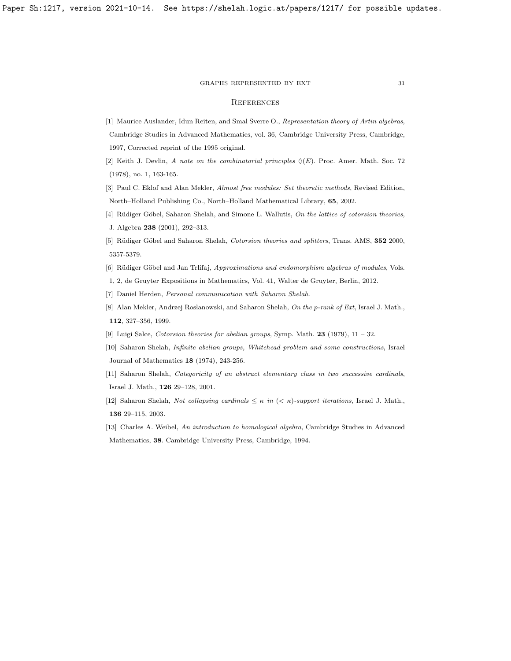#### GRAPHS REPRESENTED BY EXT $\qquad \qquad 31$

### **REFERENCES**

- <span id="page-30-1"></span>[1] Maurice Auslander, Idun Reiten, and Smal Sverre O., Representation theory of Artin algebras, Cambridge Studies in Advanced Mathematics, vol. 36, Cambridge University Press, Cambridge, 1997, Corrected reprint of the 1995 original.
- <span id="page-30-8"></span>[2] Keith J. Devlin, A note on the combinatorial principles  $\Diamond(E)$ . Proc. Amer. Math. Soc. 72 (1978), no. 1, 163-165.
- <span id="page-30-7"></span>[3] Paul C. Eklof and Alan Mekler, Almost free modules: Set theoretic methods, Revised Edition, North–Holland Publishing Co., North–Holland Mathematical Library, 65, 2002.
- <span id="page-30-6"></span>[4] Rüdiger Göbel, Saharon Shelah, and Simone L. Wallutis, On the lattice of cotorsion theories, J. Algebra 238 (2001), 292–313.
- <span id="page-30-3"></span>[5] Rüdiger Göbel and Saharon Shelah, Cotorsion theories and splitters, Trans. AMS, 352 2000, 5357-5379.
- <span id="page-30-5"></span>[6] Rüdiger Göbel and Jan Trlifaj, Approximations and endomorphism algebras of modules, Vols.
- 1, 2, de Gruyter Expositions in Mathematics, Vol. 41, Walter de Gruyter, Berlin, 2012.
- [7] Daniel Herden, Personal communication with Saharon Shelah.
- [8] Alan Mekler, Andrzej Rosłanowski, and Saharon Shelah, On the p-rank of Ext, Israel J. Math., 112, 327–356, 1999.
- <span id="page-30-4"></span>[9] Luigi Salce, Cotorsion theories for abelian groups, Symp. Math.  $23$  (1979),  $11 - 32$ .
- <span id="page-30-2"></span>[10] Saharon Shelah, Infinite abelian groups, Whitehead problem and some constructions, Israel Journal of Mathematics 18 (1974), 243-256.
- [11] Saharon Shelah, Categoricity of an abstract elementary class in two successive cardinals, Israel J. Math., 126 29–128, 2001.
- <span id="page-30-9"></span>[12] Saharon Shelah, Not collapsing cardinals  $\leq \kappa$  in  $( $\kappa$ )-support iterations, Israel J. Math.,$ 136 29–115, 2003.
- <span id="page-30-0"></span>[13] Charles A. Weibel, An introduction to homological algebra, Cambridge Studies in Advanced Mathematics, 38. Cambridge University Press, Cambridge, 1994.